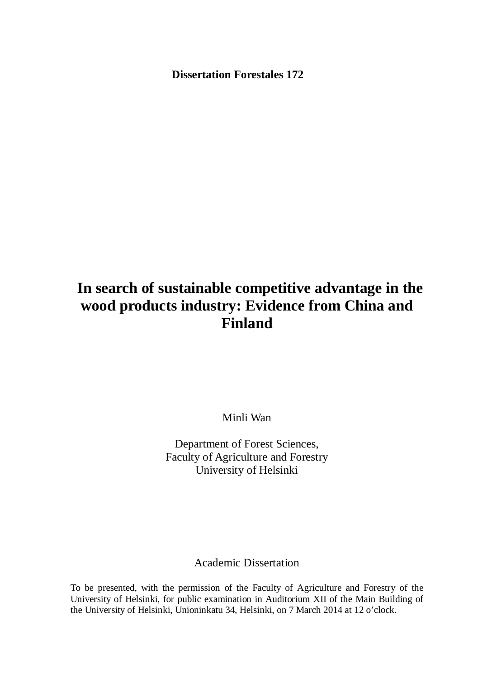**Dissertation Forestales 172** 

# **In search of sustainable competitive advantage in the wood products industry: Evidence from China and Finland**

Minli Wan

Department of Forest Sciences, Faculty of Agriculture and Forestry University of Helsinki

## Academic Dissertation

To be presented, with the permission of the Faculty of Agriculture and Forestry of the University of Helsinki, for public examination in Auditorium XII of the Main Building of the University of Helsinki, Unioninkatu 34, Helsinki, on 7 March 2014 at 12 o'clock.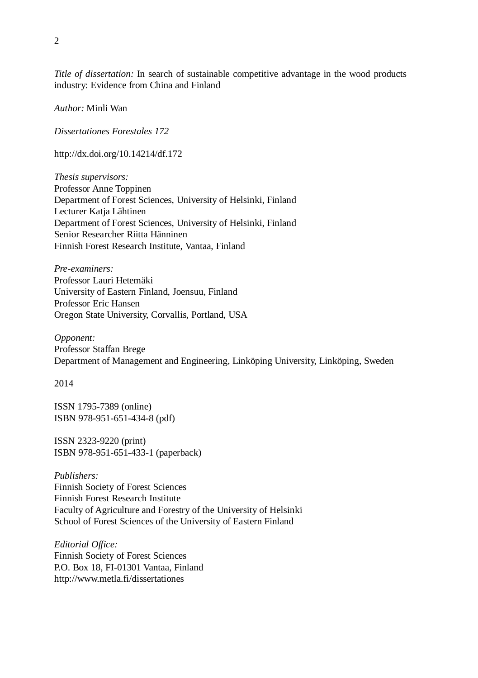*Title of dissertation:* In search of sustainable competitive advantage in the wood products industry: Evidence from China and Finland

*Author:* Minli Wan

*Dissertationes Forestales 172* 

http://dx.doi.org/10.14214/df.172

*Thesis supervisors:*  Professor Anne Toppinen Department of Forest Sciences, University of Helsinki, Finland Lecturer Katja Lähtinen Department of Forest Sciences, University of Helsinki, Finland Senior Researcher Riitta Hänninen Finnish Forest Research Institute, Vantaa, Finland

*Pre-examiners:*  Professor Lauri Hetemäki University of Eastern Finland, Joensuu, Finland Professor Eric Hansen Oregon State University, Corvallis, Portland, USA

*Opponent:*  Professor Staffan Brege Department of Management and Engineering, Linköping University, Linköping, Sweden

2014

ISSN 1795-7389 (online) ISBN 978-951-651-434-8 (pdf)

ISSN 2323-9220 (print) ISBN 978-951-651-433-1 (paperback)

*Publishers:*  Finnish Society of Forest Sciences Finnish Forest Research Institute Faculty of Agriculture and Forestry of the University of Helsinki School of Forest Sciences of the University of Eastern Finland

*Editorial Office:*  Finnish Society of Forest Sciences P.O. Box 18, FI-01301 Vantaa, Finland http://www.metla.fi/dissertationes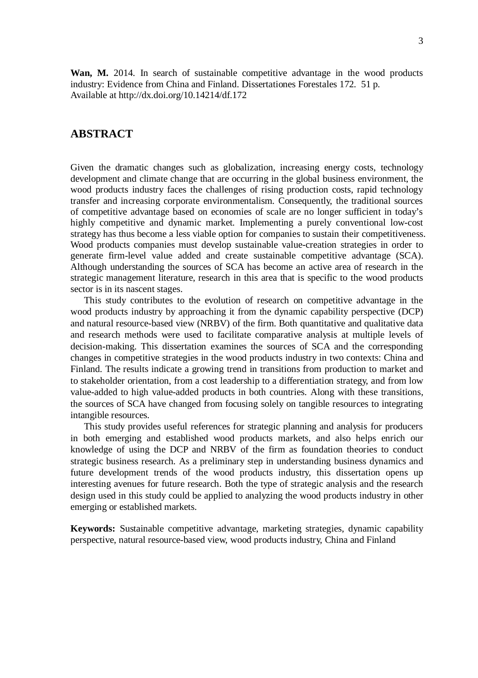**Wan, M.** 2014. In search of sustainable competitive advantage in the wood products industry: Evidence from China and Finland. Dissertationes Forestales 172. 51 p. Available at http://dx.doi.org/10.14214/df.172

### **ABSTRACT**

Given the dramatic changes such as globalization, increasing energy costs, technology development and climate change that are occurring in the global business environment, the wood products industry faces the challenges of rising production costs, rapid technology transfer and increasing corporate environmentalism. Consequently, the traditional sources of competitive advantage based on economies of scale are no longer sufficient in today's highly competitive and dynamic market. Implementing a purely conventional low-cost strategy has thus become a less viable option for companies to sustain their competitiveness. Wood products companies must develop sustainable value-creation strategies in order to generate firm-level value added and create sustainable competitive advantage (SCA). Although understanding the sources of SCA has become an active area of research in the strategic management literature, research in this area that is specific to the wood products sector is in its nascent stages.

This study contributes to the evolution of research on competitive advantage in the wood products industry by approaching it from the dynamic capability perspective (DCP) and natural resource-based view (NRBV) of the firm. Both quantitative and qualitative data and research methods were used to facilitate comparative analysis at multiple levels of decision-making. This dissertation examines the sources of SCA and the corresponding changes in competitive strategies in the wood products industry in two contexts: China and Finland. The results indicate a growing trend in transitions from production to market and to stakeholder orientation, from a cost leadership to a differentiation strategy, and from low value-added to high value-added products in both countries. Along with these transitions, the sources of SCA have changed from focusing solely on tangible resources to integrating intangible resources.

This study provides useful references for strategic planning and analysis for producers in both emerging and established wood products markets, and also helps enrich our knowledge of using the DCP and NRBV of the firm as foundation theories to conduct strategic business research. As a preliminary step in understanding business dynamics and future development trends of the wood products industry, this dissertation opens up interesting avenues for future research. Both the type of strategic analysis and the research design used in this study could be applied to analyzing the wood products industry in other emerging or established markets.

**Keywords:** Sustainable competitive advantage, marketing strategies, dynamic capability perspective, natural resource-based view, wood products industry, China and Finland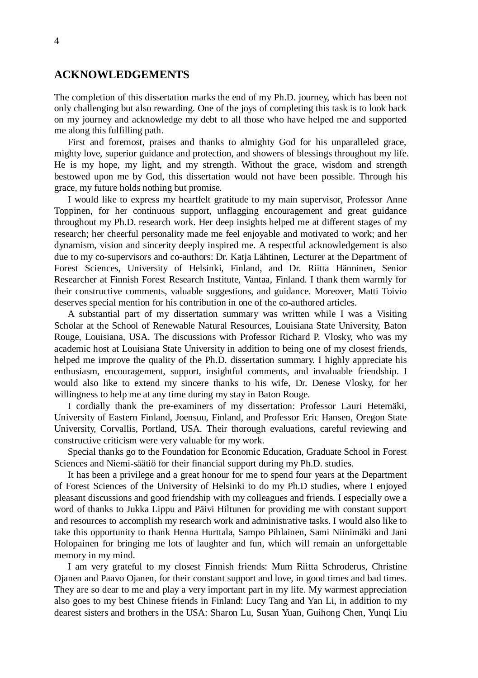### **ACKNOWLEDGEMENTS**

The completion of this dissertation marks the end of my Ph.D. journey, which has been not only challenging but also rewarding. One of the joys of completing this task is to look back on my journey and acknowledge my debt to all those who have helped me and supported me along this fulfilling path.

First and foremost, praises and thanks to almighty God for his unparalleled grace, mighty love, superior guidance and protection, and showers of blessings throughout my life. He is my hope, my light, and my strength. Without the grace, wisdom and strength bestowed upon me by God, this dissertation would not have been possible. Through his grace, my future holds nothing but promise.

I would like to express my heartfelt gratitude to my main supervisor, Professor Anne Toppinen, for her continuous support, unflagging encouragement and great guidance throughout my Ph.D. research work. Her deep insights helped me at different stages of my research; her cheerful personality made me feel enjoyable and motivated to work; and her dynamism, vision and sincerity deeply inspired me. A respectful acknowledgement is also due to my co-supervisors and co-authors: Dr. Katja Lähtinen, Lecturer at the Department of Forest Sciences, University of Helsinki, Finland, and Dr. Riitta Hänninen, Senior Researcher at Finnish Forest Research Institute, Vantaa, Finland. I thank them warmly for their constructive comments, valuable suggestions, and guidance. Moreover, Matti Toivio deserves special mention for his contribution in one of the co-authored articles.

A substantial part of my dissertation summary was written while I was a Visiting Scholar at the School of Renewable Natural Resources, Louisiana State University, Baton Rouge, Louisiana, USA. The discussions with Professor Richard P. Vlosky, who was my academic host at Louisiana State University in addition to being one of my closest friends, helped me improve the quality of the Ph.D. dissertation summary. I highly appreciate his enthusiasm, encouragement, support, insightful comments, and invaluable friendship. I would also like to extend my sincere thanks to his wife, Dr. Denese Vlosky, for her willingness to help me at any time during my stay in Baton Rouge.

I cordially thank the pre-examiners of my dissertation: Professor Lauri Hetemäki, University of Eastern Finland, Joensuu, Finland, and Professor Eric Hansen, Oregon State University, Corvallis, Portland, USA. Their thorough evaluations, careful reviewing and constructive criticism were very valuable for my work.

Special thanks go to the Foundation for Economic Education, Graduate School in Forest Sciences and Niemi-säätiö for their financial support during my Ph.D. studies.

It has been a privilege and a great honour for me to spend four years at the Department of Forest Sciences of the University of Helsinki to do my Ph.D studies, where I enjoyed pleasant discussions and good friendship with my colleagues and friends. I especially owe a word of thanks to Jukka Lippu and Päivi Hiltunen for providing me with constant support and resources to accomplish my research work and administrative tasks. I would also like to take this opportunity to thank Henna Hurttala, Sampo Pihlainen, Sami Niinimäki and Jani Holopainen for bringing me lots of laughter and fun, which will remain an unforgettable memory in my mind.

I am very grateful to my closest Finnish friends: Mum Riitta Schroderus, Christine Ojanen and Paavo Ojanen, for their constant support and love, in good times and bad times. They are so dear to me and play a very important part in my life. My warmest appreciation also goes to my best Chinese friends in Finland: Lucy Tang and Yan Li, in addition to my dearest sisters and brothers in the USA: Sharon Lu, Susan Yuan, Guihong Chen, Yunqi Liu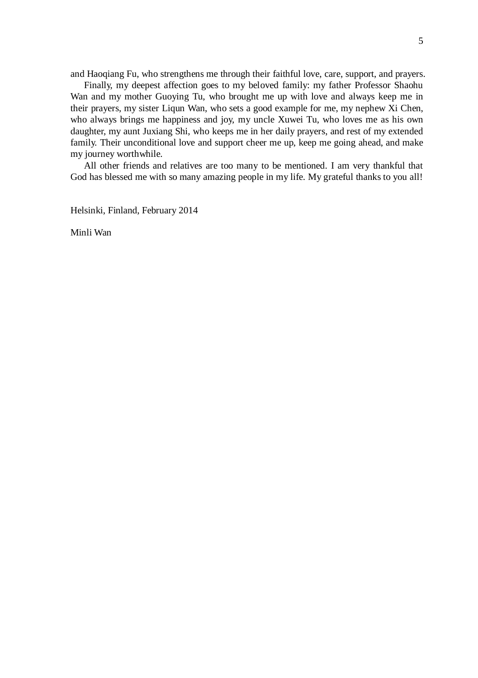and Haoqiang Fu, who strengthens me through their faithful love, care, support, and prayers.

Finally, my deepest affection goes to my beloved family: my father Professor Shaohu Wan and my mother Guoying Tu, who brought me up with love and always keep me in their prayers, my sister Liqun Wan, who sets a good example for me, my nephew Xi Chen, who always brings me happiness and joy, my uncle Xuwei Tu, who loves me as his own daughter, my aunt Juxiang Shi, who keeps me in her daily prayers, and rest of my extended family. Their unconditional love and support cheer me up, keep me going ahead, and make my journey worthwhile.

All other friends and relatives are too many to be mentioned. I am very thankful that God has blessed me with so many amazing people in my life. My grateful thanks to you all!

Helsinki, Finland, February 2014

Minli Wan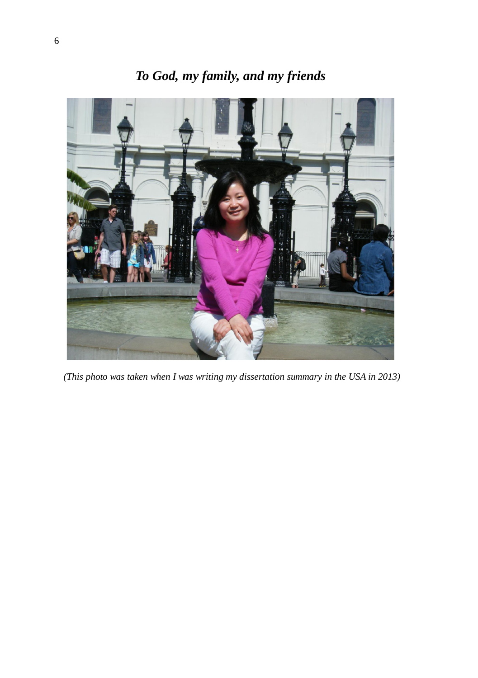# *To God, my family, and my friends*



 *(This photo was taken when I was writing my dissertation summary in the USA in 2013)*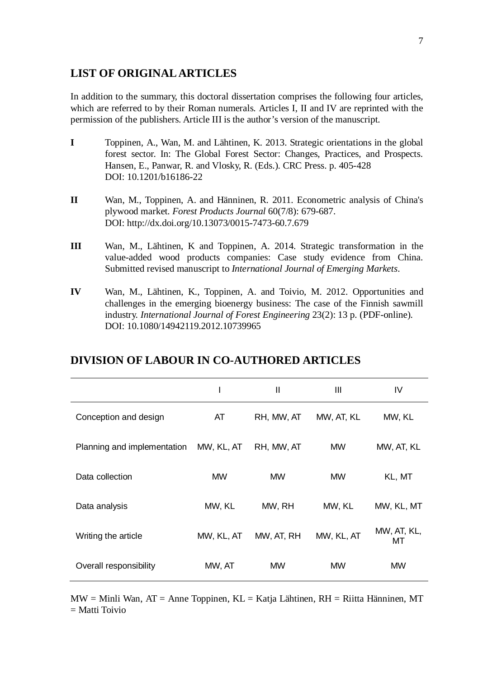### **LIST OF ORIGINAL ARTICLES**

In addition to the summary, this doctoral dissertation comprises the following four articles, which are referred to by their Roman numerals. Articles I, II and IV are reprinted with the permission of the publishers. Article III is the author's version of the manuscript.

- **I** Toppinen, A., Wan, M. and Lähtinen, K. 2013. Strategic orientations in the global forest sector. In: The Global Forest Sector: Changes, Practices, and Prospects. Hansen, E., Panwar, R. and Vlosky, R. (Eds.). CRC Press. p. 405-428 DOI: 10.1201/b16186- 22
- **II** Wan, M., Toppinen, A. and Hänninen, R. 2011. Econometric analysis of China's plywood market. *Forest Products Journal* 60(7/8): 679-687. DOI: http://dx.doi.org/10.13073/0015-7473-60.7.679
- **III** Wan, M., Lähtinen, K and Toppinen, A. 2014. Strategic transformation in the value-added wood products companies: Case study evidence from China. Submitted revised manuscript to *International Journal of Emerging Markets*.
- **IV** Wan, M., Lähtinen, K., Toppinen, A. and Toivio, M. 2012. Opportunities and challenges in the emerging bioenergy business: The case of the Finnish sawmill industry. *International Journal of Forest Engineering* 23(2): 13 p. (PDF-online). DOI: 10.1080/14942119.2012.10739965

|                             |            | Ш          | Ш          | IV                |
|-----------------------------|------------|------------|------------|-------------------|
| Conception and design       | AT         | RH, MW, AT | MW, AT, KL | MW, KL            |
| Planning and implementation | MW, KL, AT | RH, MW, AT | <b>MW</b>  | MW, AT, KL        |
| Data collection             | <b>MW</b>  | <b>MW</b>  | <b>MW</b>  | KL, MT            |
| Data analysis               | MW, KL     | MW, RH     | MW, KL     | MW, KL, MT        |
| Writing the article         | MW, KL, AT | MW, AT, RH | MW, KL, AT | MW, AT, KL,<br>МT |
| Overall responsibility      | MW, AT     | <b>MW</b>  | <b>MW</b>  | <b>MW</b>         |

### **DIVISION OF LABOUR IN CO-AUTHORED ARTICLES**

 $MW = Mini$  Wan,  $AT = Anne$  Toppinen,  $KL = Katja$  Lähtinen,  $RH = Ri$ itta Hänninen, MT = Matti Toivio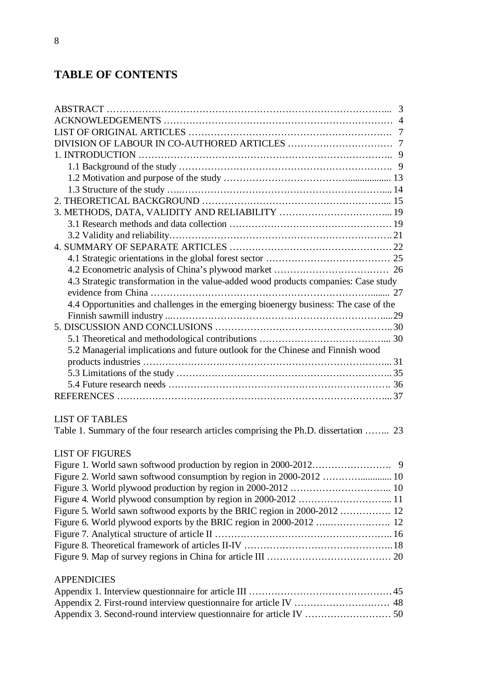# **TABLE OF CONTENTS**

| 4.3 Strategic transformation in the value-added wood products companies: Case study  |  |
|--------------------------------------------------------------------------------------|--|
|                                                                                      |  |
| 4.4 Opportunities and challenges in the emerging bioenergy business: The case of the |  |
|                                                                                      |  |
|                                                                                      |  |
|                                                                                      |  |
| 5.2 Managerial implications and future outlook for the Chinese and Finnish wood      |  |
|                                                                                      |  |
|                                                                                      |  |
|                                                                                      |  |
|                                                                                      |  |
|                                                                                      |  |
| <b>LIST OF TABLES</b>                                                                |  |
| Table 1. Summary of the four research articles comprising the Ph.D. dissertation  23 |  |
| LIST OF FIGURES                                                                      |  |
|                                                                                      |  |
| Eigure $2$ World source of two of consumption by region in 2000, 2012                |  |

| Figure 5. World sawn softwood exports by the BRIC region in 2000-2012  12 |  |
|---------------------------------------------------------------------------|--|
|                                                                           |  |
|                                                                           |  |
|                                                                           |  |
|                                                                           |  |
|                                                                           |  |

### APPENDICIES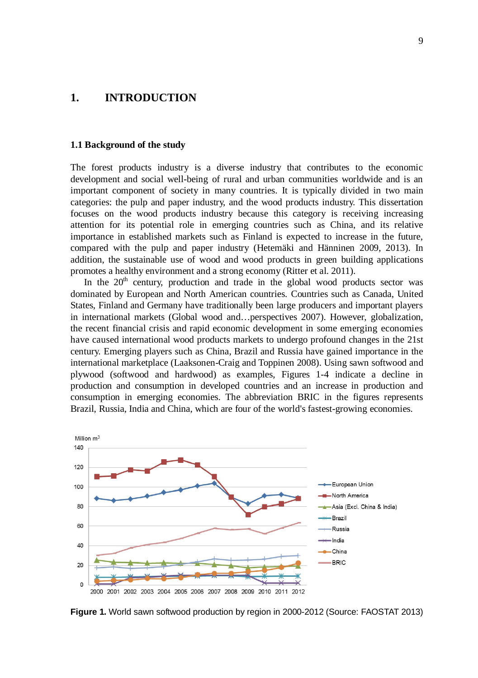### **1. INTRODUCTION**

#### **1.1 Background of the study**

The forest products industry is a diverse industry that contributes to the economic development and social well-being of rural and urban communities worldwide and is an important component of society in many countries. It is typically divided in two main categories: the pulp and paper industry, and the wood products industry. This dissertation focuses on the wood products industry because this category is receiving increasing attention for its potential role in emerging countries such as China, and its relative importance in established markets such as Finland is expected to increase in the future, compared with the pulp and paper industry (Hetemäki and Hänninen 2009, 2013). In addition, the sustainable use of wood and wood products in green building applications promotes a healthy environment and a strong economy (Ritter et al. 2011).

In the  $20<sup>th</sup>$  century, production and trade in the global wood products sector was dominated by European and North American countries. Countries such as Canada, United States, Finland and Germany have traditionally been large producers and important players in international markets (Global wood and…perspectives 2007). However, globalization, the recent financial crisis and rapid economic development in some emerging economies have caused international wood products markets to undergo profound changes in the 21st century. Emerging players such as China, Brazil and Russia have gained importance in the international marketplace (Laaksonen-Craig and Toppinen 2008). Using sawn softwood and plywood (softwood and hardwood) as examples, Figures 1-4 indicate a decline in production and consumption in developed countries and an increase in production and consumption in emerging economies. The abbreviation BRIC in the figures represents Brazil, Russia, India and China, which are four of the world's fastest-growing economies.



**Figure 1.** World sawn softwood production by region in 2000-2012 (Source: FAOSTAT 2013)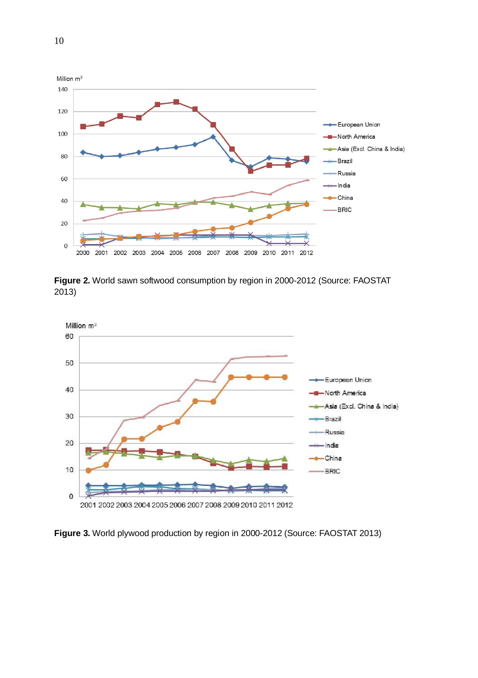

**Figure 2.** World sawn softwood consumption by region in 2000-2012 (Source: FAOSTAT 2013)



**Figure 3.** World plywood production by region in 2000-2012 (Source: FAOSTAT 2013)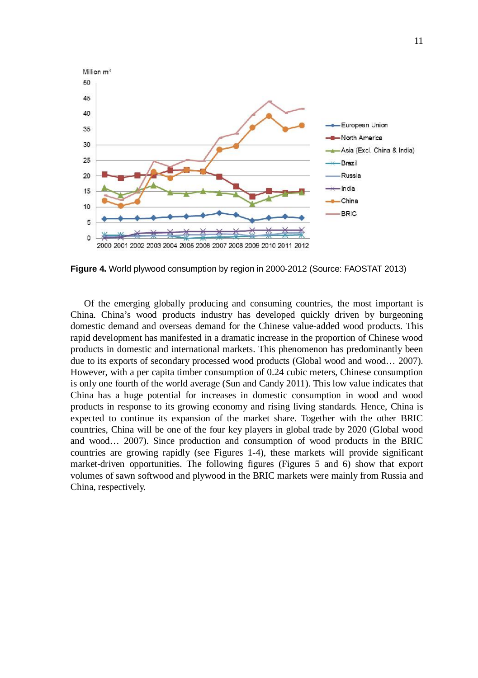

**Figure 4.** World plywood consumption by region in 2000-2012 (Source: FAOSTAT 2013)

Of the emerging globally producing and consuming countries, the most important is China. China's wood products industry has developed quickly driven by burgeoning domestic demand and overseas demand for the Chinese value-added wood products. This rapid development has manifested in a dramatic increase in the proportion of Chinese wood products in domestic and international markets. This phenomenon has predominantly been due to its exports of secondary processed wood products (Global wood and wood… 2007). However, with a per capita timber consumption of 0.24 cubic meters, Chinese consumption is only one fourth of the world average (Sun and Candy 2011). This low value indicates that China has a huge potential for increases in domestic consumption in wood and wood products in response to its growing economy and rising living standards. Hence, China is expected to continue its expansion of the market share. Together with the other BRIC countries, China will be one of the four key players in global trade by 2020 (Global wood and wood… 2007). Since production and consumption of wood products in the BRIC countries are growing rapidly (see Figures 1-4), these markets will provide significant market-driven opportunities. The following figures (Figures 5 and 6) show that export volumes of sawn softwood and plywood in the BRIC markets were mainly from Russia and China, respectively.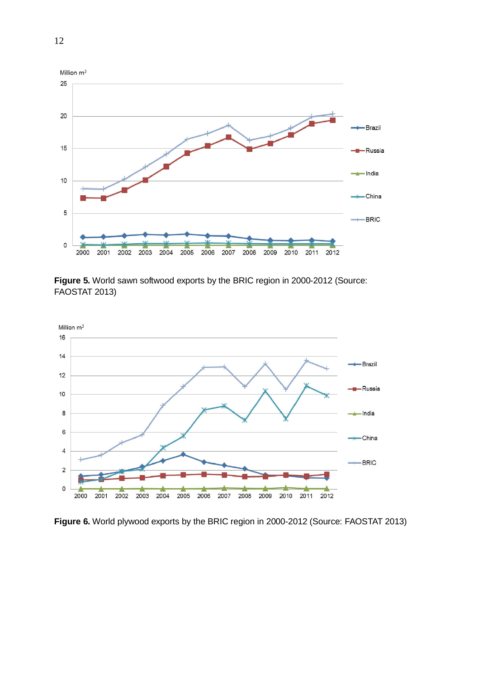

**Figure 5.** World sawn softwood exports by the BRIC region in 2000-2012 (Source: FAOSTAT 2013)



**Figure 6.** World plywood exports by the BRIC region in 2000-2012 (Source: FAOSTAT 2013)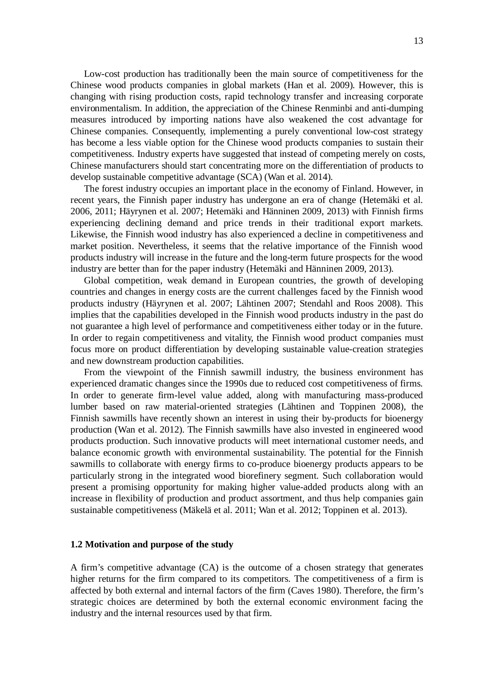Low-cost production has traditionally been the main source of competitiveness for the Chinese wood products companies in global markets (Han et al. 2009). However, this is changing with rising production costs, rapid technology transfer and increasing corporate environmentalism. In addition, the appreciation of the Chinese Renminbi and anti-dumping measures introduced by importing nations have also weakened the cost advantage for Chinese companies. Consequently, implementing a purely conventional low-cost strategy has become a less viable option for the Chinese wood products companies to sustain their competitiveness. Industry experts have suggested that instead of competing merely on costs, Chinese manufacturers should start concentrating more on the differentiation of products to develop sustainable competitive advantage (SCA) (Wan et al. 2014).

The forest industry occupies an important place in the economy of Finland. However, in recent years, the Finnish paper industry has undergone an era of change (Hetemäki et al. 2006, 2011; Häyrynen et al. 2007; Hetemäki and Hänninen 2009, 2013) with Finnish firms experiencing declining demand and price trends in their traditional export markets. Likewise, the Finnish wood industry has also experienced a decline in competitiveness and market position. Nevertheless, it seems that the relative importance of the Finnish wood products industry will increase in the future and the long-term future prospects for the wood industry are better than for the paper industry (Hetemäki and Hänninen 2009, 2013).

Global competition, weak demand in European countries, the growth of developing countries and changes in energy costs are the current challenges faced by the Finnish wood products industry (Häyrynen et al. 2007; Lähtinen 2007; Stendahl and Roos 2008). This implies that the capabilities developed in the Finnish wood products industry in the past do not guarantee a high level of performance and competitiveness either today or in the future. In order to regain competitiveness and vitality, the Finnish wood product companies must focus more on product differentiation by developing sustainable value-creation strategies and new downstream production capabilities.

From the viewpoint of the Finnish sawmill industry, the business environment has experienced dramatic changes since the 1990s due to reduced cost competitiveness of firms. In order to generate firm-level value added, along with manufacturing mass-produced lumber based on raw material-oriented strategies (Lähtinen and Toppinen 2008), the Finnish sawmills have recently shown an interest in using their by-products for bioenergy production (Wan et al. 2012). The Finnish sawmills have also invested in engineered wood products production. Such innovative products will meet international customer needs, and balance economic growth with environmental sustainability. The potential for the Finnish sawmills to collaborate with energy firms to co-produce bioenergy products appears to be particularly strong in the integrated wood biorefinery segment. Such collaboration would present a promising opportunity for making higher value-added products along with an increase in flexibility of production and product assortment, and thus help companies gain sustainable competitiveness (Mäkelä et al. 2011; Wan et al. 2012; Toppinen et al. 2013).

#### **1.2 Motivation and purpose of the study**

A firm's competitive advantage (CA) is the outcome of a chosen strategy that generates higher returns for the firm compared to its competitors. The competitiveness of a firm is affected by both external and internal factors of the firm (Caves 1980). Therefore, the firm's strategic choices are determined by both the external economic environment facing the industry and the internal resources used by that firm.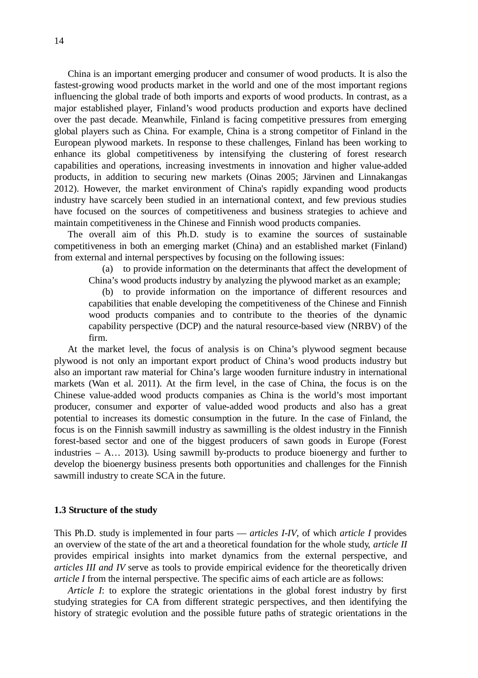China is an important emerging producer and consumer of wood products. It is also the fastest-growing wood products market in the world and one of the most important regions influencing the global trade of both imports and exports of wood products. In contrast, as a major established player, Finland's wood products production and exports have declined over the past decade. Meanwhile, Finland is facing competitive pressures from emerging global players such as China. For example, China is a strong competitor of Finland in the European plywood markets. In response to these challenges, Finland has been working to enhance its global competitiveness by intensifying the clustering of forest research capabilities and operations, increasing investments in innovation and higher value-added products, in addition to securing new markets (Oinas 2005; Järvinen and Linnakangas 2012). However, the market environment of China's rapidly expanding wood products industry have scarcely been studied in an international context, and few previous studies have focused on the sources of competitiveness and business strategies to achieve and maintain competitiveness in the Chinese and Finnish wood products companies.

The overall aim of this Ph.D. study is to examine the sources of sustainable competitiveness in both an emerging market (China) and an established market (Finland) from external and internal perspectives by focusing on the following issues:

(a) to provide information on the determinants that affect the development of China's wood products industry by analyzing the plywood market as an example;

(b) to provide information on the importance of different resources and capabilities that enable developing the competitiveness of the Chinese and Finnish wood products companies and to contribute to the theories of the dynamic capability perspective (DCP) and the natural resource-based view (NRBV) of the firm.

At the market level, the focus of analysis is on China's plywood segment because plywood is not only an important export product of China's wood products industry but also an important raw material for China's large wooden furniture industry in international markets (Wan et al. 2011). At the firm level, in the case of China, the focus is on the Chinese value-added wood products companies as China is the world's most important producer, consumer and exporter of value-added wood products and also has a great potential to increases its domestic consumption in the future. In the case of Finland, the focus is on the Finnish sawmill industry as sawmilling is the oldest industry in the Finnish forest-based sector and one of the biggest producers of sawn goods in Europe (Forest industries – A… 2013). Using sawmill by-products to produce bioenergy and further to develop the bioenergy business presents both opportunities and challenges for the Finnish sawmill industry to create SCA in the future.

#### **1.3 Structure of the study**

This Ph.D. study is implemented in four parts — *articles I-IV*, of which *article I* provides an overview of the state of the art and a theoretical foundation for the whole study, *article II* provides empirical insights into market dynamics from the external perspective, and *articles III and IV* serve as tools to provide empirical evidence for the theoretically driven *article I* from the internal perspective. The specific aims of each article are as follows:

*Article I*: to explore the strategic orientations in the global forest industry by first studying strategies for CA from different strategic perspectives, and then identifying the history of strategic evolution and the possible future paths of strategic orientations in the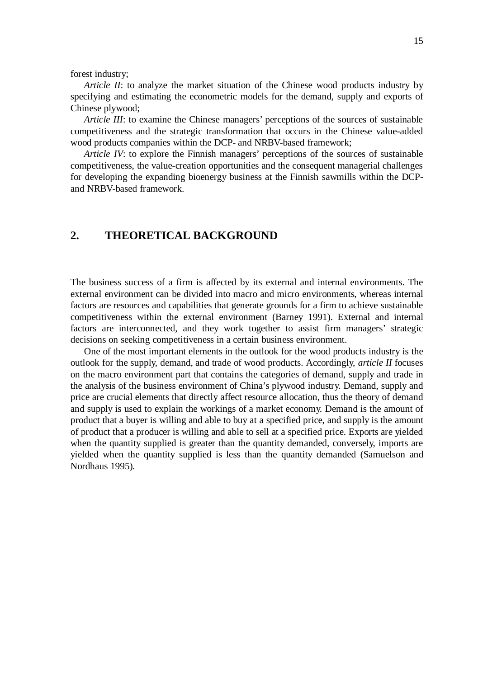forest industry;

*Article II*: to analyze the market situation of the Chinese wood products industry by specifying and estimating the econometric models for the demand, supply and exports of Chinese plywood;

*Article III*: to examine the Chinese managers' perceptions of the sources of sustainable competitiveness and the strategic transformation that occurs in the Chinese value-added wood products companies within the DCP- and NRBV-based framework;

*Article IV*: to explore the Finnish managers' perceptions of the sources of sustainable competitiveness, the value-creation opportunities and the consequent managerial challenges for developing the expanding bioenergy business at the Finnish sawmills within the DCPand NRBV-based framework.

## **2. THEORETICAL BACKGROUND**

The business success of a firm is affected by its external and internal environments. The external environment can be divided into macro and micro environments, whereas internal factors are resources and capabilities that generate grounds for a firm to achieve sustainable competitiveness within the external environment (Barney 1991). External and internal factors are interconnected, and they work together to assist firm managers' strategic decisions on seeking competitiveness in a certain business environment.

One of the most important elements in the outlook for the wood products industry is the outlook for the supply, demand, and trade of wood products. Accordingly, *article II* focuses on the macro environment part that contains the categories of demand, supply and trade in the analysis of the business environment of China's plywood industry. Demand, supply and price are crucial elements that directly affect resource allocation, thus the theory of demand and supply is used to explain the workings of a market economy. Demand is the amount of product that a buyer is willing and able to buy at a specified price, and supply is the amount of product that a producer is willing and able to sell at a specified price. Exports are yielded when the quantity supplied is greater than the quantity demanded, conversely, imports are yielded when the quantity supplied is less than the quantity demanded (Samuelson and Nordhaus 1995).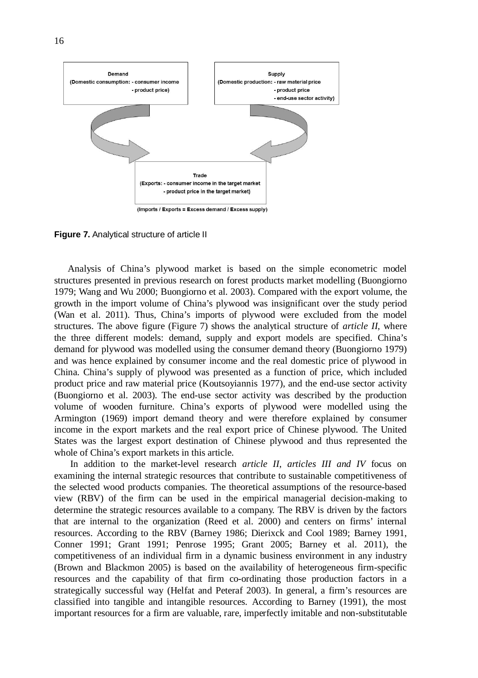

**Figure 7.** Analytical structure of article II

Analysis of China's plywood market is based on the simple econometric model structures presented in previous research on forest products market modelling (Buongiorno 1979; Wang and Wu 2000; Buongiorno et al. 2003). Compared with the export volume, the growth in the import volume of China's plywood was insignificant over the study period (Wan et al. 2011). Thus, China's imports of plywood were excluded from the model structures. The above figure (Figure 7) shows the analytical structure of *article II*, where the three different models: demand, supply and export models are specified. China's demand for plywood was modelled using the consumer demand theory (Buongiorno 1979) and was hence explained by consumer income and the real domestic price of plywood in China. China's supply of plywood was presented as a function of price, which included product price and raw material price (Koutsoyiannis 1977), and the end-use sector activity (Buongiorno et al. 2003). The end-use sector activity was described by the production volume of wooden furniture. China's exports of plywood were modelled using the Armington (1969) import demand theory and were therefore explained by consumer income in the export markets and the real export price of Chinese plywood. The United States was the largest export destination of Chinese plywood and thus represented the whole of China's export markets in this article.

 In addition to the market-level research *article II*, *articles III and IV* focus on examining the internal strategic resources that contribute to sustainable competitiveness of the selected wood products companies. The theoretical assumptions of the resource-based view (RBV) of the firm can be used in the empirical managerial decision-making to determine the strategic resources available to a company. The RBV is driven by the factors that are internal to the organization (Reed et al. 2000) and centers on firms' internal resources. According to the RBV (Barney 1986; Dierixck and Cool 1989; Barney 1991, Conner 1991; Grant 1991; Penrose 1995; Grant 2005; Barney et al. 2011), the competitiveness of an individual firm in a dynamic business environment in any industry (Brown and Blackmon 2005) is based on the availability of heterogeneous firm-specific resources and the capability of that firm co-ordinating those production factors in a strategically successful way (Helfat and Peteraf 2003). In general, a firm's resources are classified into tangible and intangible resources. According to Barney (1991), the most important resources for a firm are valuable, rare, imperfectly imitable and non-substitutable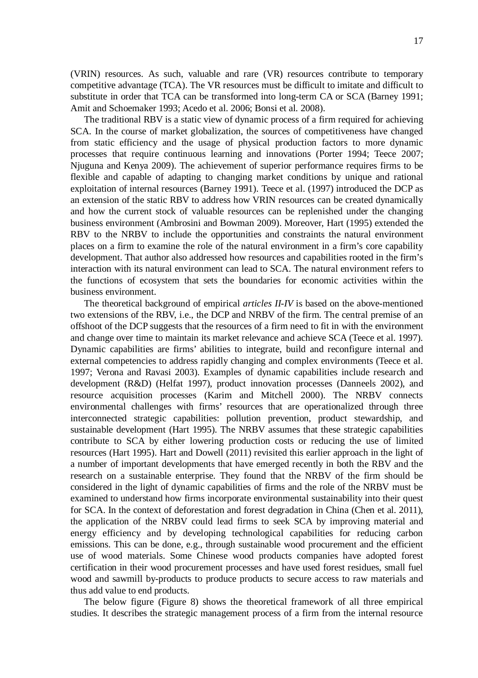The traditional RBV is a static view of dynamic process of a firm required for achieving SCA. In the course of market globalization, the sources of competitiveness have changed from static efficiency and the usage of physical production factors to more dynamic processes that require continuous learning and innovations (Porter 1994; Teece 2007; Njuguna and Kenya 2009). The achievement of superior performance requires firms to be flexible and capable of adapting to changing market conditions by unique and rational exploitation of internal resources (Barney 1991). Teece et al. (1997) introduced the DCP as an extension of the static RBV to address how VRIN resources can be created dynamically and how the current stock of valuable resources can be replenished under the changing business environment (Ambrosini and Bowman 2009). Moreover, Hart (1995) extended the RBV to the NRBV to include the opportunities and constraints the natural environment places on a firm to examine the role of the natural environment in a firm's core capability development. That author also addressed how resources and capabilities rooted in the firm's interaction with its natural environment can lead to SCA. The natural environment refers to the functions of ecosystem that sets the boundaries for economic activities within the business environment.

The theoretical background of empirical *articles II-IV* is based on the above-mentioned two extensions of the RBV, i.e., the DCP and NRBV of the firm. The central premise of an offshoot of the DCP suggests that the resources of a firm need to fit in with the environment and change over time to maintain its market relevance and achieve SCA (Teece et al. 1997). Dynamic capabilities are firms' abilities to integrate, build and reconfigure internal and external competencies to address rapidly changing and complex environments (Teece et al. 1997; Verona and Ravasi 2003). Examples of dynamic capabilities include research and development (R&D) (Helfat 1997), product innovation processes (Danneels 2002), and resource acquisition processes (Karim and Mitchell 2000). The NRBV connects environmental challenges with firms' resources that are operationalized through three interconnected strategic capabilities: pollution prevention, product stewardship, and sustainable development (Hart 1995). The NRBV assumes that these strategic capabilities contribute to SCA by either lowering production costs or reducing the use of limited resources (Hart 1995). Hart and Dowell (2011) revisited this earlier approach in the light of a number of important developments that have emerged recently in both the RBV and the research on a sustainable enterprise. They found that the NRBV of the firm should be considered in the light of dynamic capabilities of firms and the role of the NRBV must be examined to understand how firms incorporate environmental sustainability into their quest for SCA. In the context of deforestation and forest degradation in China (Chen et al. 2011), the application of the NRBV could lead firms to seek SCA by improving material and energy efficiency and by developing technological capabilities for reducing carbon emissions. This can be done, e.g., through sustainable wood procurement and the efficient use of wood materials. Some Chinese wood products companies have adopted forest certification in their wood procurement processes and have used forest residues, small fuel wood and sawmill by-products to produce products to secure access to raw materials and thus add value to end products.

The below figure (Figure 8) shows the theoretical framework of all three empirical studies. It describes the strategic management process of a firm from the internal resource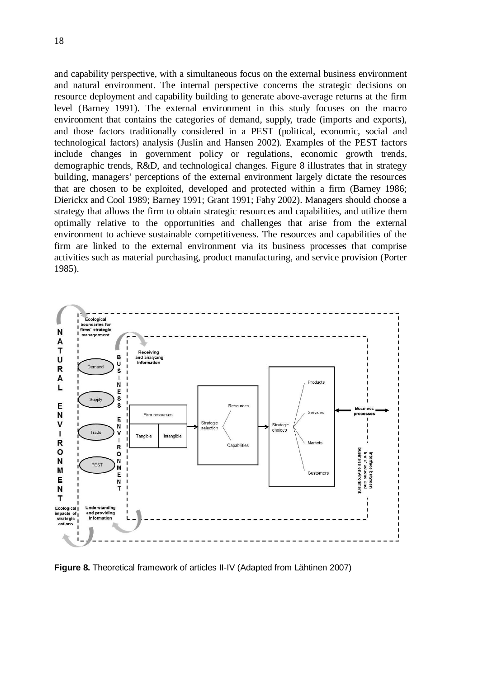and capability perspective, with a simultaneous focus on the external business environment and natural environment. The internal perspective concerns the strategic decisions on resource deployment and capability building to generate above-average returns at the firm level (Barney 1991). The external environment in this study focuses on the macro environment that contains the categories of demand, supply, trade (imports and exports), and those factors traditionally considered in a PEST (political, economic, social and technological factors) analysis (Juslin and Hansen 2002). Examples of the PEST factors include changes in government policy or regulations, economic growth trends, demographic trends, R&D, and technological changes. Figure 8 illustrates that in strategy building, managers' perceptions of the external environment largely dictate the resources that are chosen to be exploited, developed and protected within a firm (Barney 1986; Dierickx and Cool 1989; Barney 1991; Grant 1991; Fahy 2002). Managers should choose a strategy that allows the firm to obtain strategic resources and capabilities, and utilize them optimally relative to the opportunities and challenges that arise from the external environment to achieve sustainable competitiveness. The resources and capabilities of the firm are linked to the external environment via its business processes that comprise activities such as material purchasing, product manufacturing, and service provision (Porter 1985).



**Figure 8.** Theoretical framework of articles II-IV (Adapted from Lähtinen 2007)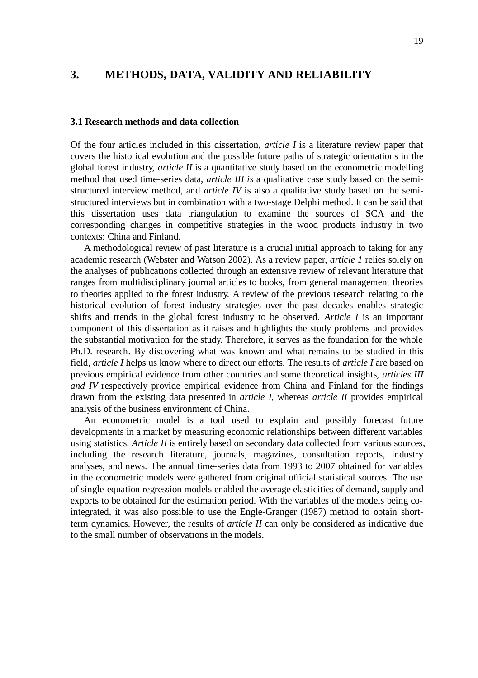### **3. METHODS, DATA, VALIDITY AND RELIABILITY**

#### **3.1 Research methods and data collection**

Of the four articles included in this dissertation, *article I* is a literature review paper that covers the historical evolution and the possible future paths of strategic orientations in the global forest industry, *article II* is a quantitative study based on the econometric modelling method that used time-series data, *article III is* a qualitative case study based on the semistructured interview method, and *article IV* is also a qualitative study based on the semistructured interviews but in combination with a two-stage Delphi method. It can be said that this dissertation uses data triangulation to examine the sources of SCA and the corresponding changes in competitive strategies in the wood products industry in two contexts: China and Finland.

A methodological review of past literature is a crucial initial approach to taking for any academic research (Webster and Watson 2002). As a review paper, *article 1* relies solely on the analyses of publications collected through an extensive review of relevant literature that ranges from multidisciplinary journal articles to books, from general management theories to theories applied to the forest industry. A review of the previous research relating to the historical evolution of forest industry strategies over the past decades enables strategic shifts and trends in the global forest industry to be observed. *Article I* is an important component of this dissertation as it raises and highlights the study problems and provides the substantial motivation for the study. Therefore, it serves as the foundation for the whole Ph.D. research. By discovering what was known and what remains to be studied in this field, *article I* helps us know where to direct our efforts. The results of *article I* are based on previous empirical evidence from other countries and some theoretical insights, *articles III and IV* respectively provide empirical evidence from China and Finland for the findings drawn from the existing data presented in *article I*, whereas *article II* provides empirical analysis of the business environment of China.

An econometric model is a tool used to explain and possibly forecast future developments in a market by measuring economic relationships between different variables using statistics. *Article II* is entirely based on secondary data collected from various sources, including the research literature, journals, magazines, consultation reports, industry analyses, and news. The annual time-series data from 1993 to 2007 obtained for variables in the econometric models were gathered from original official statistical sources. The use of single-equation regression models enabled the average elasticities of demand, supply and exports to be obtained for the estimation period. With the variables of the models being cointegrated, it was also possible to use the Engle-Granger (1987) method to obtain shortterm dynamics. However, the results of *article II* can only be considered as indicative due to the small number of observations in the models.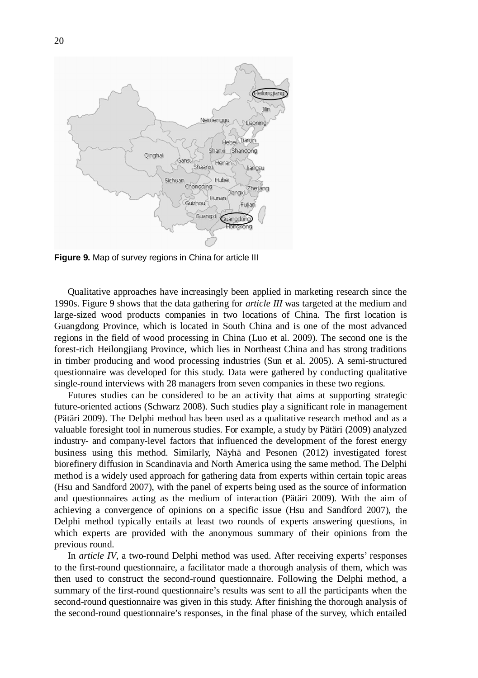

**Figure 9.** Map of survey regions in China for article III

Qualitative approaches have increasingly been applied in marketing research since the 1990s. Figure 9 shows that the data gathering for *article III* was targeted at the medium and large-sized wood products companies in two locations of China. The first location is Guangdong Province, which is located in South China and is one of the most advanced regions in the field of wood processing in China (Luo et al. 2009). The second one is the forest-rich Heilongjiang Province, which lies in Northeast China and has strong traditions in timber producing and wood processing industries (Sun et al. 2005). A semi-structured questionnaire was developed for this study. Data were gathered by conducting qualitative single-round interviews with 28 managers from seven companies in these two regions.

Futures studies can be considered to be an activity that aims at supporting strategic future-oriented actions (Schwarz 2008). Such studies play a significant role in management (Pätäri 2009). The Delphi method has been used as a qualitative research method and as a valuable foresight tool in numerous studies. For example, a study by Pätäri (2009) analyzed industry- and company-level factors that influenced the development of the forest energy business using this method. Similarly, Näyhä and Pesonen (2012) investigated forest biorefinery diffusion in Scandinavia and North America using the same method. The Delphi method is a widely used approach for gathering data from experts within certain topic areas (Hsu and Sandford 2007), with the panel of experts being used as the source of information and questionnaires acting as the medium of interaction (Pätäri 2009). With the aim of achieving a convergence of opinions on a specific issue (Hsu and Sandford 2007), the Delphi method typically entails at least two rounds of experts answering questions, in which experts are provided with the anonymous summary of their opinions from the previous round.

In *article IV*, a two-round Delphi method was used. After receiving experts' responses to the first-round questionnaire, a facilitator made a thorough analysis of them, which was then used to construct the second-round questionnaire. Following the Delphi method, a summary of the first-round questionnaire's results was sent to all the participants when the second-round questionnaire was given in this study. After finishing the thorough analysis of the second-round questionnaire's responses, in the final phase of the survey, which entailed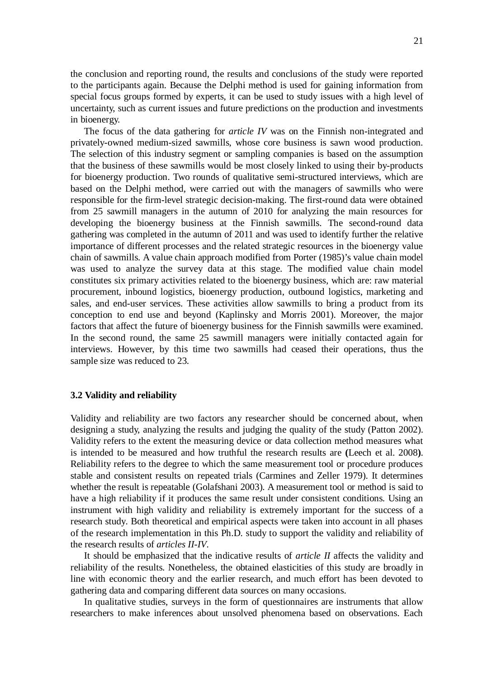the conclusion and reporting round, the results and conclusions of the study were reported to the participants again. Because the Delphi method is used for gaining information from special focus groups formed by experts, it can be used to study issues with a high level of uncertainty, such as current issues and future predictions on the production and investments in bioenergy.

The focus of the data gathering for *article IV* was on the Finnish non-integrated and privately-owned medium-sized sawmills, whose core business is sawn wood production. The selection of this industry segment or sampling companies is based on the assumption that the business of these sawmills would be most closely linked to using their by-products for bioenergy production. Two rounds of qualitative semi-structured interviews, which are based on the Delphi method, were carried out with the managers of sawmills who were responsible for the firm-level strategic decision-making. The first-round data were obtained from 25 sawmill managers in the autumn of 2010 for analyzing the main resources for developing the bioenergy business at the Finnish sawmills. The second-round data gathering was completed in the autumn of 2011 and was used to identify further the relative importance of different processes and the related strategic resources in the bioenergy value chain of sawmills. A value chain approach modified from Porter (1985)'s value chain model was used to analyze the survey data at this stage. The modified value chain model constitutes six primary activities related to the bioenergy business, which are: raw material procurement, inbound logistics, bioenergy production, outbound logistics, marketing and sales, and end-user services. These activities allow sawmills to bring a product from its conception to end use and beyond (Kaplinsky and Morris 2001). Moreover, the major factors that affect the future of bioenergy business for the Finnish sawmills were examined. In the second round, the same 25 sawmill managers were initially contacted again for interviews. However, by this time two sawmills had ceased their operations, thus the sample size was reduced to 23.

#### **3.2 Validity and reliability**

Validity and reliability are two factors any researcher should be concerned about, when designing a study, analyzing the results and judging the quality of the study (Patton 2002). Validity refers to the extent the measuring device or data collection method measures what is intended to be measured and how truthful the research results are **(**Leech et al. 2008**)**. Reliability refers to the degree to which the same measurement tool or procedure produces stable and consistent results on repeated trials (Carmines and Zeller 1979). It determines whether the result is repeatable (Golafshani 2003). A measurement tool or method is said to have a high reliability if it produces the same result under consistent conditions. Using an instrument with high validity and reliability is extremely important for the success of a research study. Both theoretical and empirical aspects were taken into account in all phases of the research implementation in this Ph.D. study to support the validity and reliability of the research results of *articles II-IV*.

It should be emphasized that the indicative results of *article II* affects the validity and reliability of the results. Nonetheless, the obtained elasticities of this study are broadly in line with economic theory and the earlier research, and much effort has been devoted to gathering data and comparing different data sources on many occasions.

In qualitative studies, surveys in the form of questionnaires are instruments that allow researchers to make inferences about unsolved phenomena based on observations. Each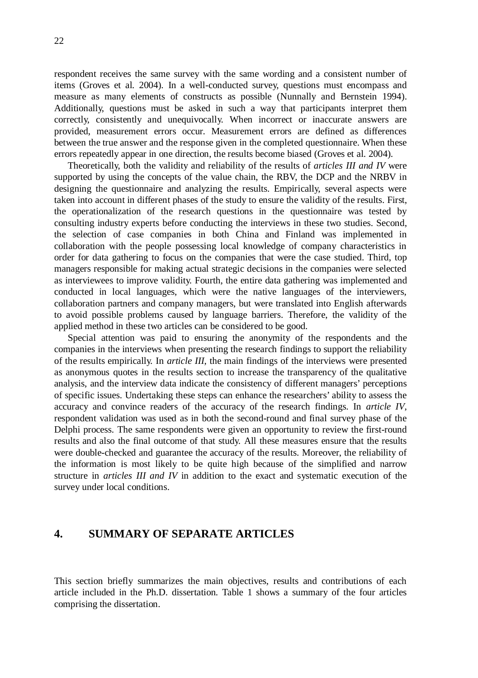respondent receives the same survey with the same wording and a consistent number of items (Groves et al. 2004). In a well-conducted survey, questions must encompass and measure as many elements of constructs as possible (Nunnally and Bernstein 1994). Additionally, questions must be asked in such a way that participants interpret them correctly, consistently and unequivocally. When incorrect or inaccurate answers are provided, measurement errors occur. Measurement errors are defined as differences between the true answer and the response given in the completed questionnaire. When these errors repeatedly appear in one direction, the results become biased (Groves et al. 2004).

Theoretically, both the validity and reliability of the results of *articles III and IV* were supported by using the concepts of the value chain, the RBV, the DCP and the NRBV in designing the questionnaire and analyzing the results. Empirically, several aspects were taken into account in different phases of the study to ensure the validity of the results. First, the operationalization of the research questions in the questionnaire was tested by consulting industry experts before conducting the interviews in these two studies. Second, the selection of case companies in both China and Finland was implemented in collaboration with the people possessing local knowledge of company characteristics in order for data gathering to focus on the companies that were the case studied. Third, top managers responsible for making actual strategic decisions in the companies were selected as interviewees to improve validity. Fourth, the entire data gathering was implemented and conducted in local languages, which were the native languages of the interviewers, collaboration partners and company managers, but were translated into English afterwards to avoid possible problems caused by language barriers. Therefore, the validity of the applied method in these two articles can be considered to be good.

Special attention was paid to ensuring the anonymity of the respondents and the companies in the interviews when presenting the research findings to support the reliability of the results empirically. In *article III*, the main findings of the interviews were presented as anonymous quotes in the results section to increase the transparency of the qualitative analysis, and the interview data indicate the consistency of different managers' perceptions of specific issues. Undertaking these steps can enhance the researchers' ability to assess the accuracy and convince readers of the accuracy of the research findings. In *article IV*, respondent validation was used as in both the second-round and final survey phase of the Delphi process. The same respondents were given an opportunity to review the first-round results and also the final outcome of that study. All these measures ensure that the results were double-checked and guarantee the accuracy of the results. Moreover, the reliability of the information is most likely to be quite high because of the simplified and narrow structure in *articles III and IV* in addition to the exact and systematic execution of the survey under local conditions.

### **4. SUMMARY OF SEPARATE ARTICLES**

This section briefly summarizes the main objectives, results and contributions of each article included in the Ph.D. dissertation. Table 1 shows a summary of the four articles comprising the dissertation.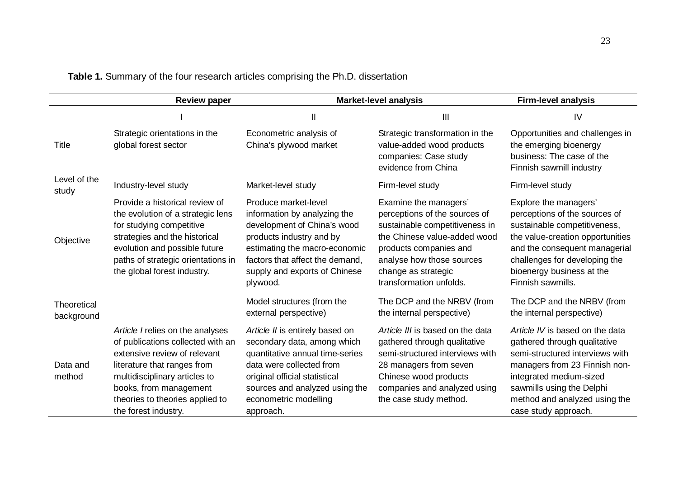|                           | <b>Review paper</b>                                                                                                                                                                                                                                        |                                                                                                                                                                                                                                        | <b>Market-level analysis</b>                                                                                                                                                                                                      | <b>Firm-level analysis</b>                                                                                                                                                                                                                           |
|---------------------------|------------------------------------------------------------------------------------------------------------------------------------------------------------------------------------------------------------------------------------------------------------|----------------------------------------------------------------------------------------------------------------------------------------------------------------------------------------------------------------------------------------|-----------------------------------------------------------------------------------------------------------------------------------------------------------------------------------------------------------------------------------|------------------------------------------------------------------------------------------------------------------------------------------------------------------------------------------------------------------------------------------------------|
|                           |                                                                                                                                                                                                                                                            | Ш                                                                                                                                                                                                                                      | $\mathbf{III}$                                                                                                                                                                                                                    | IV                                                                                                                                                                                                                                                   |
| Title                     | Strategic orientations in the<br>global forest sector                                                                                                                                                                                                      | Econometric analysis of<br>China's plywood market                                                                                                                                                                                      | Strategic transformation in the<br>value-added wood products<br>companies: Case study<br>evidence from China                                                                                                                      | Opportunities and challenges in<br>the emerging bioenergy<br>business: The case of the<br>Finnish sawmill industry                                                                                                                                   |
| Level of the<br>study     | Industry-level study                                                                                                                                                                                                                                       | Market-level study                                                                                                                                                                                                                     | Firm-level study                                                                                                                                                                                                                  | Firm-level study                                                                                                                                                                                                                                     |
| Objective                 | Provide a historical review of<br>the evolution of a strategic lens<br>for studying competitive<br>strategies and the historical<br>evolution and possible future<br>paths of strategic orientations in<br>the global forest industry.                     | Produce market-level<br>information by analyzing the<br>development of China's wood<br>products industry and by<br>estimating the macro-economic<br>factors that affect the demand.<br>supply and exports of Chinese<br>plywood.       | Examine the managers'<br>perceptions of the sources of<br>sustainable competitiveness in<br>the Chinese value-added wood<br>products companies and<br>analyse how those sources<br>change as strategic<br>transformation unfolds. | Explore the managers'<br>perceptions of the sources of<br>sustainable competitiveness,<br>the value-creation opportunities<br>and the consequent managerial<br>challenges for developing the<br>bioenergy business at the<br>Finnish sawmills.       |
| Theoretical<br>background |                                                                                                                                                                                                                                                            | Model structures (from the<br>external perspective)                                                                                                                                                                                    | The DCP and the NRBV (from<br>the internal perspective)                                                                                                                                                                           | The DCP and the NRBV (from<br>the internal perspective)                                                                                                                                                                                              |
| Data and<br>method        | Article I relies on the analyses<br>of publications collected with an<br>extensive review of relevant<br>literature that ranges from<br>multidisciplinary articles to<br>books, from management<br>theories to theories applied to<br>the forest industry. | Article II is entirely based on<br>secondary data, among which<br>quantitative annual time-series<br>data were collected from<br>original official statistical<br>sources and analyzed using the<br>econometric modelling<br>approach. | Article III is based on the data<br>gathered through qualitative<br>semi-structured interviews with<br>28 managers from seven<br>Chinese wood products<br>companies and analyzed using<br>the case study method.                  | Article IV is based on the data<br>gathered through qualitative<br>semi-structured interviews with<br>managers from 23 Finnish non-<br>integrated medium-sized<br>sawmills using the Delphi<br>method and analyzed using the<br>case study approach. |

**Table 1.** Summary of the four research articles comprising the Ph.D. dissertation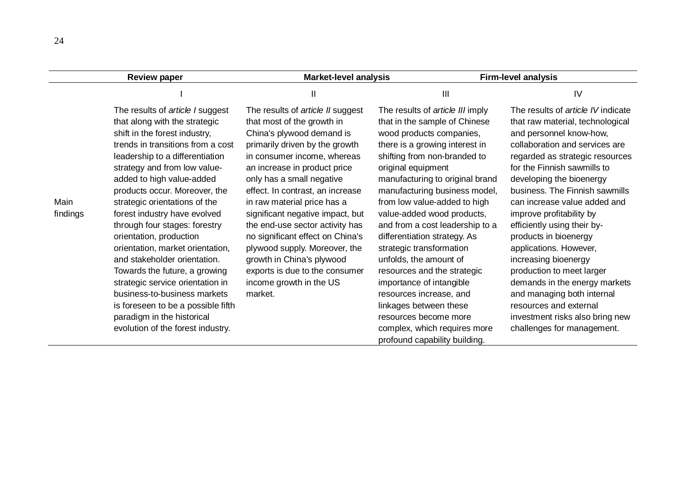|                  | <b>Review paper</b>                                                                                                                                                                                                                                                                                                                                                                                                                                                                                                                                                                                                                                                                     | Market-level analysis                                                                                                                                                                                                                                                                                                                                                                                                                                                                                                                          |                                                                                                                                                                                                                                                                                                                                                                                                                                                                                                                                                                                                                                                            | <b>Firm-level analysis</b>                                                                                                                                                                                                                                                                                                                                                                                                                                                                                                                                                                                                              |
|------------------|-----------------------------------------------------------------------------------------------------------------------------------------------------------------------------------------------------------------------------------------------------------------------------------------------------------------------------------------------------------------------------------------------------------------------------------------------------------------------------------------------------------------------------------------------------------------------------------------------------------------------------------------------------------------------------------------|------------------------------------------------------------------------------------------------------------------------------------------------------------------------------------------------------------------------------------------------------------------------------------------------------------------------------------------------------------------------------------------------------------------------------------------------------------------------------------------------------------------------------------------------|------------------------------------------------------------------------------------------------------------------------------------------------------------------------------------------------------------------------------------------------------------------------------------------------------------------------------------------------------------------------------------------------------------------------------------------------------------------------------------------------------------------------------------------------------------------------------------------------------------------------------------------------------------|-----------------------------------------------------------------------------------------------------------------------------------------------------------------------------------------------------------------------------------------------------------------------------------------------------------------------------------------------------------------------------------------------------------------------------------------------------------------------------------------------------------------------------------------------------------------------------------------------------------------------------------------|
|                  |                                                                                                                                                                                                                                                                                                                                                                                                                                                                                                                                                                                                                                                                                         | Ш                                                                                                                                                                                                                                                                                                                                                                                                                                                                                                                                              | $\mathsf{III}$                                                                                                                                                                                                                                                                                                                                                                                                                                                                                                                                                                                                                                             | IV                                                                                                                                                                                                                                                                                                                                                                                                                                                                                                                                                                                                                                      |
| Main<br>findings | The results of article I suggest<br>that along with the strategic<br>shift in the forest industry,<br>trends in transitions from a cost<br>leadership to a differentiation<br>strategy and from low value-<br>added to high value-added<br>products occur. Moreover, the<br>strategic orientations of the<br>forest industry have evolved<br>through four stages: forestry<br>orientation, production<br>orientation, market orientation,<br>and stakeholder orientation.<br>Towards the future, a growing<br>strategic service orientation in<br>business-to-business markets<br>is foreseen to be a possible fifth<br>paradigm in the historical<br>evolution of the forest industry. | The results of article II suggest<br>that most of the growth in<br>China's plywood demand is<br>primarily driven by the growth<br>in consumer income, whereas<br>an increase in product price<br>only has a small negative<br>effect. In contrast, an increase<br>in raw material price has a<br>significant negative impact, but<br>the end-use sector activity has<br>no significant effect on China's<br>plywood supply. Moreover, the<br>growth in China's plywood<br>exports is due to the consumer<br>income growth in the US<br>market. | The results of article III imply<br>that in the sample of Chinese<br>wood products companies,<br>there is a growing interest in<br>shifting from non-branded to<br>original equipment<br>manufacturing to original brand<br>manufacturing business model,<br>from low value-added to high<br>value-added wood products,<br>and from a cost leadership to a<br>differentiation strategy. As<br>strategic transformation<br>unfolds, the amount of<br>resources and the strategic<br>importance of intangible<br>resources increase, and<br>linkages between these<br>resources become more<br>complex, which requires more<br>profound capability building. | The results of <i>article IV</i> indicate<br>that raw material, technological<br>and personnel know-how,<br>collaboration and services are<br>regarded as strategic resources<br>for the Finnish sawmills to<br>developing the bioenergy<br>business. The Finnish sawmills<br>can increase value added and<br>improve profitability by<br>efficiently using their by-<br>products in bioenergy<br>applications. However,<br>increasing bioenergy<br>production to meet larger<br>demands in the energy markets<br>and managing both internal<br>resources and external<br>investment risks also bring new<br>challenges for management. |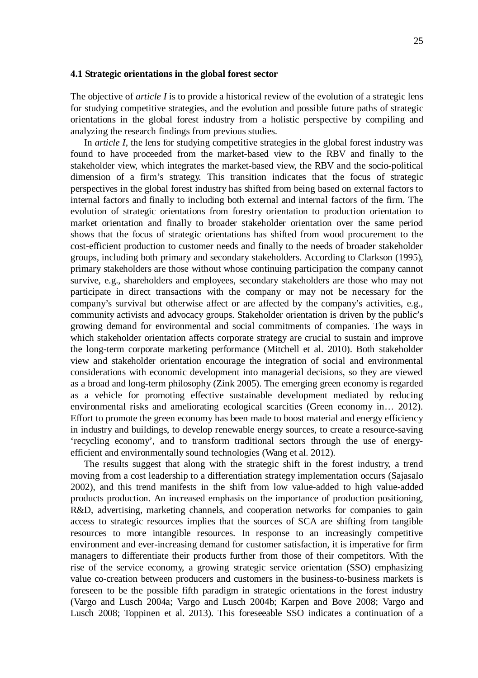#### **4.1 Strategic orientations in the global forest sector**

The objective of *article I* is to provide a historical review of the evolution of a strategic lens for studying competitive strategies, and the evolution and possible future paths of strategic orientations in the global forest industry from a holistic perspective by compiling and analyzing the research findings from previous studies.

In *article I*, the lens for studying competitive strategies in the global forest industry was found to have proceeded from the market-based view to the RBV and finally to the stakeholder view, which integrates the market-based view, the RBV and the socio-political dimension of a firm's strategy. This transition indicates that the focus of strategic perspectives in the global forest industry has shifted from being based on external factors to internal factors and finally to including both external and internal factors of the firm. The evolution of strategic orientations from forestry orientation to production orientation to market orientation and finally to broader stakeholder orientation over the same period shows that the focus of strategic orientations has shifted from wood procurement to the cost-efficient production to customer needs and finally to the needs of broader stakeholder groups, including both primary and secondary stakeholders. According to Clarkson (1995), primary stakeholders are those without whose continuing participation the company cannot survive, e.g., shareholders and employees, secondary stakeholders are those who may not participate in direct transactions with the company or may not be necessary for the company's survival but otherwise affect or are affected by the company's activities, e.g., community activists and advocacy groups. Stakeholder orientation is driven by the public's growing demand for environmental and social commitments of companies. The ways in which stakeholder orientation affects corporate strategy are crucial to sustain and improve the long-term corporate marketing performance (Mitchell et al. 2010). Both stakeholder view and stakeholder orientation encourage the integration of social and environmental considerations with economic development into managerial decisions, so they are viewed as a broad and long-term philosophy (Zink 2005). The emerging green economy is regarded as a vehicle for promoting effective sustainable development mediated by reducing environmental risks and ameliorating ecological scarcities (Green economy in… 2012). Effort to promote the green economy has been made to boost material and energy efficiency in industry and buildings, to develop renewable energy sources, to create a resource-saving 'recycling economy', and to transform traditional sectors through the use of energyefficient and environmentally sound technologies (Wang et al. 2012).

The results suggest that along with the strategic shift in the forest industry, a trend moving from a cost leadership to a differentiation strategy implementation occurs (Sajasalo 2002), and this trend manifests in the shift from low value-added to high value-added products production. An increased emphasis on the importance of production positioning, R&D, advertising, marketing channels, and cooperation networks for companies to gain access to strategic resources implies that the sources of SCA are shifting from tangible resources to more intangible resources. In response to an increasingly competitive environment and ever-increasing demand for customer satisfaction, it is imperative for firm managers to differentiate their products further from those of their competitors. With the rise of the service economy, a growing strategic service orientation (SSO) emphasizing value co-creation between producers and customers in the business-to-business markets is foreseen to be the possible fifth paradigm in strategic orientations in the forest industry (Vargo and Lusch 2004a; Vargo and Lusch 2004b; Karpen and Bove 2008; Vargo and Lusch 2008; Toppinen et al. 2013). This foreseeable SSO indicates a continuation of a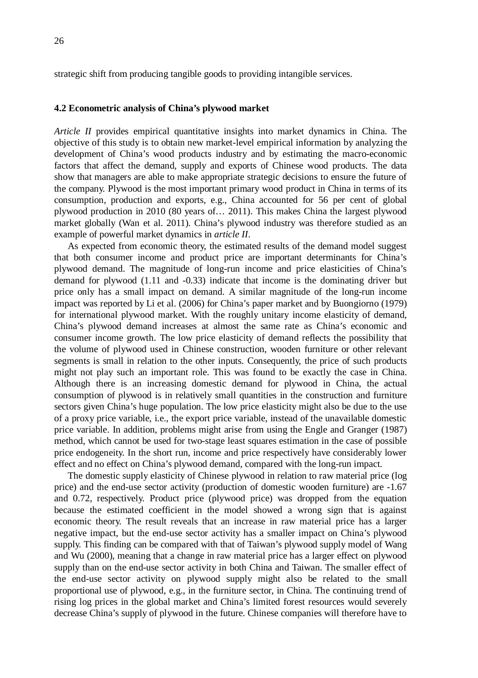strategic shift from producing tangible goods to providing intangible services.

#### **4.2 Econometric analysis of China's plywood market**

*Article II* provides empirical quantitative insights into market dynamics in China. The objective of this study is to obtain new market-level empirical information by analyzing the development of China's wood products industry and by estimating the macro-economic factors that affect the demand, supply and exports of Chinese wood products. The data show that managers are able to make appropriate strategic decisions to ensure the future of the company. Plywood is the most important primary wood product in China in terms of its consumption, production and exports, e.g., China accounted for 56 per cent of global plywood production in 2010 (80 years of… 2011). This makes China the largest plywood market globally (Wan et al. 2011). China's plywood industry was therefore studied as an example of powerful market dynamics in *article II*.

As expected from economic theory, the estimated results of the demand model suggest that both consumer income and product price are important determinants for China's plywood demand. The magnitude of long-run income and price elasticities of China's demand for plywood (1.11 and -0.33) indicate that income is the dominating driver but price only has a small impact on demand. A similar magnitude of the long-run income impact was reported by Li et al. (2006) for China's paper market and by Buongiorno (1979) for international plywood market. With the roughly unitary income elasticity of demand, China's plywood demand increases at almost the same rate as China's economic and consumer income growth. The low price elasticity of demand reflects the possibility that the volume of plywood used in Chinese construction, wooden furniture or other relevant segments is small in relation to the other inputs. Consequently, the price of such products might not play such an important role. This was found to be exactly the case in China. Although there is an increasing domestic demand for plywood in China, the actual consumption of plywood is in relatively small quantities in the construction and furniture sectors given China's huge population. The low price elasticity might also be due to the use of a proxy price variable, i.e., the export price variable, instead of the unavailable domestic price variable. In addition, problems might arise from using the Engle and Granger (1987) method, which cannot be used for two-stage least squares estimation in the case of possible price endogeneity. In the short run, income and price respectively have considerably lower effect and no effect on China's plywood demand, compared with the long-run impact.

The domestic supply elasticity of Chinese plywood in relation to raw material price (log price) and the end-use sector activity (production of domestic wooden furniture) are -1.67 and 0.72, respectively. Product price (plywood price) was dropped from the equation because the estimated coefficient in the model showed a wrong sign that is against economic theory. The result reveals that an increase in raw material price has a larger negative impact, but the end-use sector activity has a smaller impact on China's plywood supply. This finding can be compared with that of Taiwan's plywood supply model of Wang and Wu (2000), meaning that a change in raw material price has a larger effect on plywood supply than on the end-use sector activity in both China and Taiwan. The smaller effect of the end-use sector activity on plywood supply might also be related to the small proportional use of plywood, e.g., in the furniture sector, in China. The continuing trend of rising log prices in the global market and China's limited forest resources would severely decrease China's supply of plywood in the future. Chinese companies will therefore have to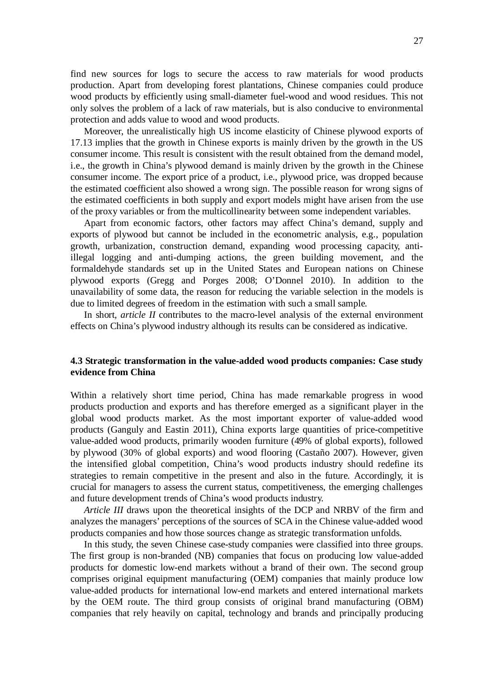find new sources for logs to secure the access to raw materials for wood products production. Apart from developing forest plantations, Chinese companies could produce wood products by efficiently using small-diameter fuel-wood and wood residues. This not only solves the problem of a lack of raw materials, but is also conducive to environmental protection and adds value to wood and wood products.

Moreover, the unrealistically high US income elasticity of Chinese plywood exports of 17.13 implies that the growth in Chinese exports is mainly driven by the growth in the US consumer income. This result is consistent with the result obtained from the demand model, i.e., the growth in China's plywood demand is mainly driven by the growth in the Chinese consumer income. The export price of a product, i.e., plywood price, was dropped because the estimated coefficient also showed a wrong sign. The possible reason for wrong signs of the estimated coefficients in both supply and export models might have arisen from the use of the proxy variables or from the multicollinearity between some independent variables.

Apart from economic factors, other factors may affect China's demand, supply and exports of plywood but cannot be included in the econometric analysis, e.g., population growth, urbanization, construction demand, expanding wood processing capacity, antiillegal logging and anti-dumping actions, the green building movement, and the formaldehyde standards set up in the United States and European nations on Chinese plywood exports (Gregg and Porges 2008; O'Donnel 2010). In addition to the unavailability of some data, the reason for reducing the variable selection in the models is due to limited degrees of freedom in the estimation with such a small sample.

In short, *article II* contributes to the macro-level analysis of the external environment effects on China's plywood industry although its results can be considered as indicative.

### **4.3 Strategic transformation in the value-added wood products companies: Case study evidence from China**

Within a relatively short time period, China has made remarkable progress in wood products production and exports and has therefore emerged as a significant player in the global wood products market. As the most important exporter of value-added wood products (Ganguly and Eastin 2011), China exports large quantities of price-competitive value-added wood products, primarily wooden furniture (49% of global exports), followed by plywood (30% of global exports) and wood flooring (Castaño 2007). However, given the intensified global competition, China's wood products industry should redefine its strategies to remain competitive in the present and also in the future. Accordingly, it is crucial for managers to assess the current status, competitiveness, the emerging challenges and future development trends of China's wood products industry.

*Article III* draws upon the theoretical insights of the DCP and NRBV of the firm and analyzes the managers' perceptions of the sources of SCA in the Chinese value-added wood products companies and how those sources change as strategic transformation unfolds.

In this study, the seven Chinese case-study companies were classified into three groups. The first group is non-branded (NB) companies that focus on producing low value-added products for domestic low-end markets without a brand of their own. The second group comprises original equipment manufacturing (OEM) companies that mainly produce low value-added products for international low-end markets and entered international markets by the OEM route. The third group consists of original brand manufacturing (OBM) companies that rely heavily on capital, technology and brands and principally producing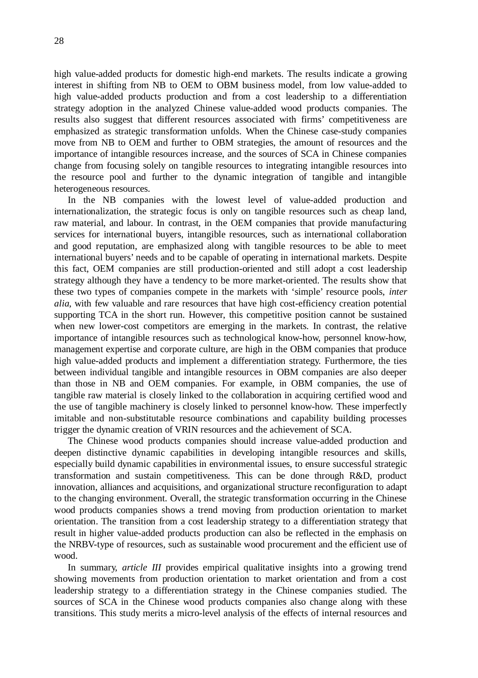high value-added products for domestic high-end markets. The results indicate a growing interest in shifting from NB to OEM to OBM business model, from low value-added to high value-added products production and from a cost leadership to a differentiation strategy adoption in the analyzed Chinese value-added wood products companies. The results also suggest that different resources associated with firms' competitiveness are emphasized as strategic transformation unfolds. When the Chinese case-study companies move from NB to OEM and further to OBM strategies, the amount of resources and the importance of intangible resources increase, and the sources of SCA in Chinese companies change from focusing solely on tangible resources to integrating intangible resources into the resource pool and further to the dynamic integration of tangible and intangible heterogeneous resources.

In the NB companies with the lowest level of value-added production and internationalization, the strategic focus is only on tangible resources such as cheap land, raw material, and labour. In contrast, in the OEM companies that provide manufacturing services for international buyers, intangible resources, such as international collaboration and good reputation, are emphasized along with tangible resources to be able to meet international buyers' needs and to be capable of operating in international markets. Despite this fact, OEM companies are still production-oriented and still adopt a cost leadership strategy although they have a tendency to be more market-oriented. The results show that these two types of companies compete in the markets with 'simple' resource pools, *inter alia*, with few valuable and rare resources that have high cost-efficiency creation potential supporting TCA in the short run. However, this competitive position cannot be sustained when new lower-cost competitors are emerging in the markets. In contrast, the relative importance of intangible resources such as technological know-how, personnel know-how, management expertise and corporate culture, are high in the OBM companies that produce high value-added products and implement a differentiation strategy. Furthermore, the ties between individual tangible and intangible resources in OBM companies are also deeper than those in NB and OEM companies. For example, in OBM companies, the use of tangible raw material is closely linked to the collaboration in acquiring certified wood and the use of tangible machinery is closely linked to personnel know-how. These imperfectly imitable and non-substitutable resource combinations and capability building processes trigger the dynamic creation of VRIN resources and the achievement of SCA.

The Chinese wood products companies should increase value-added production and deepen distinctive dynamic capabilities in developing intangible resources and skills, especially build dynamic capabilities in environmental issues, to ensure successful strategic transformation and sustain competitiveness. This can be done through R&D, product innovation, alliances and acquisitions, and organizational structure reconfiguration to adapt to the changing environment. Overall, the strategic transformation occurring in the Chinese wood products companies shows a trend moving from production orientation to market orientation. The transition from a cost leadership strategy to a differentiation strategy that result in higher value-added products production can also be reflected in the emphasis on the NRBV-type of resources, such as sustainable wood procurement and the efficient use of wood.

In summary, *article III* provides empirical qualitative insights into a growing trend showing movements from production orientation to market orientation and from a cost leadership strategy to a differentiation strategy in the Chinese companies studied. The sources of SCA in the Chinese wood products companies also change along with these transitions. This study merits a micro-level analysis of the effects of internal resources and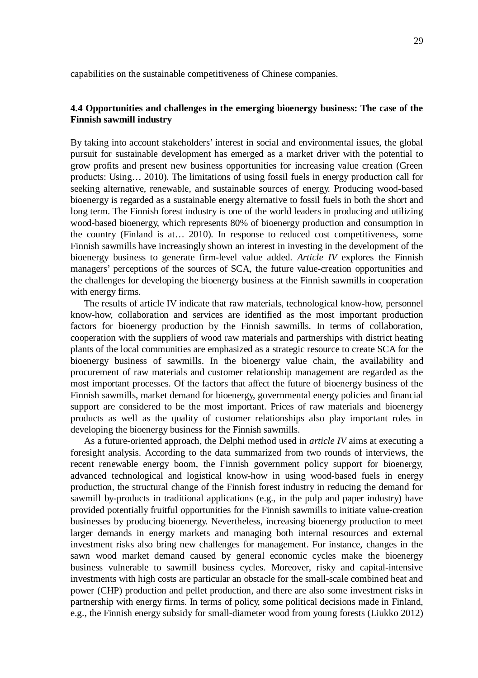capabilities on the sustainable competitiveness of Chinese companies.

### **4.4 Opportunities and challenges in the emerging bioenergy business: The case of the Finnish sawmill industry**

By taking into account stakeholders' interest in social and environmental issues, the global pursuit for sustainable development has emerged as a market driver with the potential to grow profits and present new business opportunities for increasing value creation (Green products: Using… 2010). The limitations of using fossil fuels in energy production call for seeking alternative, renewable, and sustainable sources of energy. Producing wood-based bioenergy is regarded as a sustainable energy alternative to fossil fuels in both the short and long term. The Finnish forest industry is one of the world leaders in producing and utilizing wood-based bioenergy, which represents 80% of bioenergy production and consumption in the country (Finland is at… 2010). In response to reduced cost competitiveness, some Finnish sawmills have increasingly shown an interest in investing in the development of the bioenergy business to generate firm-level value added. *Article IV* explores the Finnish managers' perceptions of the sources of SCA, the future value-creation opportunities and the challenges for developing the bioenergy business at the Finnish sawmills in cooperation with energy firms.

The results of article IV indicate that raw materials, technological know-how, personnel know-how, collaboration and services are identified as the most important production factors for bioenergy production by the Finnish sawmills. In terms of collaboration, cooperation with the suppliers of wood raw materials and partnerships with district heating plants of the local communities are emphasized as a strategic resource to create SCA for the bioenergy business of sawmills. In the bioenergy value chain, the availability and procurement of raw materials and customer relationship management are regarded as the most important processes. Of the factors that affect the future of bioenergy business of the Finnish sawmills, market demand for bioenergy, governmental energy policies and financial support are considered to be the most important. Prices of raw materials and bioenergy products as well as the quality of customer relationships also play important roles in developing the bioenergy business for the Finnish sawmills.

As a future-oriented approach, the Delphi method used in *article IV* aims at executing a foresight analysis. According to the data summarized from two rounds of interviews, the recent renewable energy boom, the Finnish government policy support for bioenergy, advanced technological and logistical know-how in using wood-based fuels in energy production, the structural change of the Finnish forest industry in reducing the demand for sawmill by-products in traditional applications (e.g., in the pulp and paper industry) have provided potentially fruitful opportunities for the Finnish sawmills to initiate value-creation businesses by producing bioenergy. Nevertheless, increasing bioenergy production to meet larger demands in energy markets and managing both internal resources and external investment risks also bring new challenges for management. For instance, changes in the sawn wood market demand caused by general economic cycles make the bioenergy business vulnerable to sawmill business cycles. Moreover, risky and capital-intensive investments with high costs are particular an obstacle for the small-scale combined heat and power (CHP) production and pellet production, and there are also some investment risks in partnership with energy firms. In terms of policy, some political decisions made in Finland, e.g., the Finnish energy subsidy for small-diameter wood from young forests (Liukko 2012)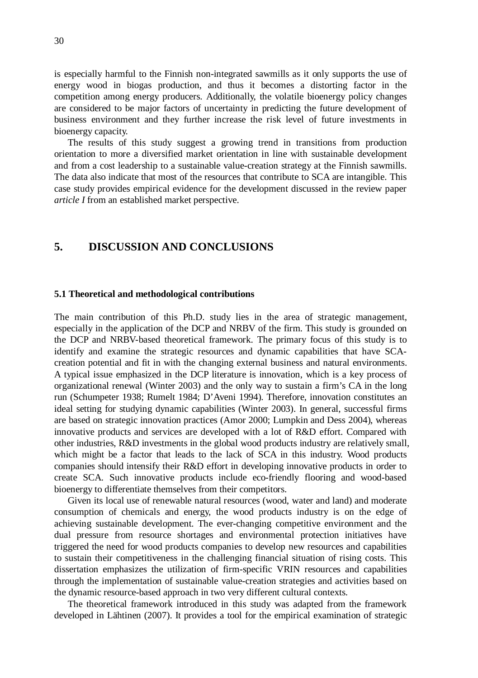is especially harmful to the Finnish non-integrated sawmills as it only supports the use of energy wood in biogas production, and thus it becomes a distorting factor in the competition among energy producers. Additionally, the volatile bioenergy policy changes are considered to be major factors of uncertainty in predicting the future development of business environment and they further increase the risk level of future investments in bioenergy capacity.

The results of this study suggest a growing trend in transitions from production orientation to more a diversified market orientation in line with sustainable development and from a cost leadership to a sustainable value-creation strategy at the Finnish sawmills. The data also indicate that most of the resources that contribute to SCA are intangible. This case study provides empirical evidence for the development discussed in the review paper *article I* from an established market perspective.

### **5. DISCUSSION AND CONCLUSIONS**

#### **5.1 Theoretical and methodological contributions**

The main contribution of this Ph.D. study lies in the area of strategic management, especially in the application of the DCP and NRBV of the firm. This study is grounded on the DCP and NRBV-based theoretical framework. The primary focus of this study is to identify and examine the strategic resources and dynamic capabilities that have SCAcreation potential and fit in with the changing external business and natural environments. A typical issue emphasized in the DCP literature is innovation, which is a key process of organizational renewal (Winter 2003) and the only way to sustain a firm's CA in the long run (Schumpeter 1938; Rumelt 1984; D'Aveni 1994). Therefore, innovation constitutes an ideal setting for studying dynamic capabilities (Winter 2003). In general, successful firms are based on strategic innovation practices (Amor 2000; Lumpkin and Dess 2004), whereas innovative products and services are developed with a lot of R&D effort. Compared with other industries, R&D investments in the global wood products industry are relatively small, which might be a factor that leads to the lack of SCA in this industry. Wood products companies should intensify their R&D effort in developing innovative products in order to create SCA. Such innovative products include eco-friendly flooring and wood-based bioenergy to differentiate themselves from their competitors.

Given its local use of renewable natural resources (wood, water and land) and moderate consumption of chemicals and energy, the wood products industry is on the edge of achieving sustainable development. The ever-changing competitive environment and the dual pressure from resource shortages and environmental protection initiatives have triggered the need for wood products companies to develop new resources and capabilities to sustain their competitiveness in the challenging financial situation of rising costs. This dissertation emphasizes the utilization of firm-specific VRIN resources and capabilities through the implementation of sustainable value-creation strategies and activities based on the dynamic resource-based approach in two very different cultural contexts.

The theoretical framework introduced in this study was adapted from the framework developed in Lähtinen (2007). It provides a tool for the empirical examination of strategic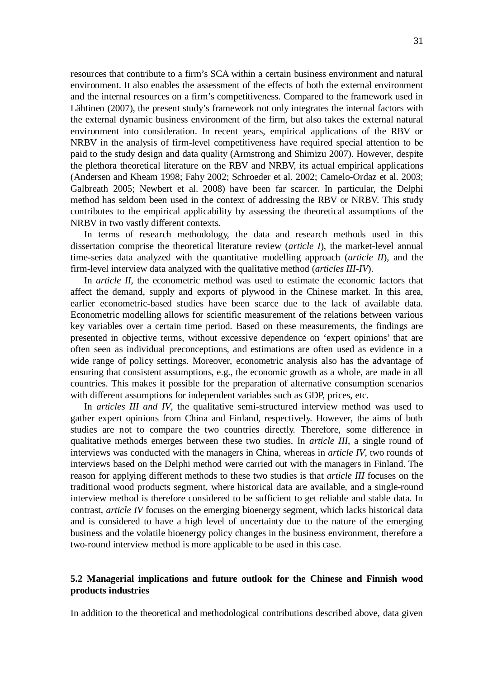resources that contribute to a firm's SCA within a certain business environment and natural environment. It also enables the assessment of the effects of both the external environment and the internal resources on a firm's competitiveness. Compared to the framework used in Lähtinen (2007), the present study's framework not only integrates the internal factors with the external dynamic business environment of the firm, but also takes the external natural environment into consideration. In recent years, empirical applications of the RBV or NRBV in the analysis of firm-level competitiveness have required special attention to be paid to the study design and data quality (Armstrong and Shimizu 2007). However, despite the plethora theoretical literature on the RBV and NRBV, its actual empirical applications (Andersen and Kheam 1998; Fahy 2002; Schroeder et al. 2002; Camelo-Ordaz et al. 2003; Galbreath 2005; Newbert et al. 2008) have been far scarcer. In particular, the Delphi method has seldom been used in the context of addressing the RBV or NRBV. This study contributes to the empirical applicability by assessing the theoretical assumptions of the NRBV in two vastly different contexts.

In terms of research methodology, the data and research methods used in this dissertation comprise the theoretical literature review (*article I*), the market-level annual time-series data analyzed with the quantitative modelling approach (*article II*), and the firm-level interview data analyzed with the qualitative method (*articles III-IV*).

In *article II*, the econometric method was used to estimate the economic factors that affect the demand, supply and exports of plywood in the Chinese market. In this area, earlier econometric-based studies have been scarce due to the lack of available data. Econometric modelling allows for scientific measurement of the relations between various key variables over a certain time period. Based on these measurements, the findings are presented in objective terms, without excessive dependence on 'expert opinions' that are often seen as individual preconceptions, and estimations are often used as evidence in a wide range of policy settings. Moreover, econometric analysis also has the advantage of ensuring that consistent assumptions, e.g., the economic growth as a whole, are made in all countries. This makes it possible for the preparation of alternative consumption scenarios with different assumptions for independent variables such as GDP, prices, etc.

In *articles III and IV*, the qualitative semi-structured interview method was used to gather expert opinions from China and Finland, respectively. However, the aims of both studies are not to compare the two countries directly. Therefore, some difference in qualitative methods emerges between these two studies. In *article III*, a single round of interviews was conducted with the managers in China, whereas in *article IV*, two rounds of interviews based on the Delphi method were carried out with the managers in Finland. The reason for applying different methods to these two studies is that *article III* focuses on the traditional wood products segment, where historical data are available, and a single-round interview method is therefore considered to be sufficient to get reliable and stable data. In contrast, *article IV* focuses on the emerging bioenergy segment, which lacks historical data and is considered to have a high level of uncertainty due to the nature of the emerging business and the volatile bioenergy policy changes in the business environment, therefore a two-round interview method is more applicable to be used in this case.

### **5.2 Managerial implications and future outlook for the Chinese and Finnish wood products industries**

In addition to the theoretical and methodological contributions described above, data given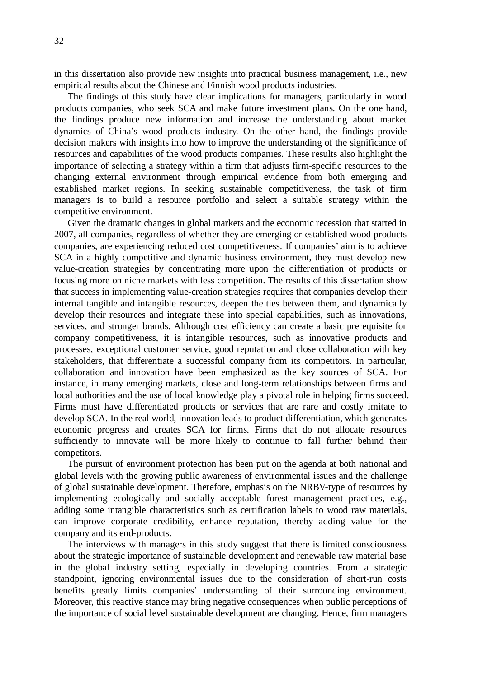in this dissertation also provide new insights into practical business management, i.e., new empirical results about the Chinese and Finnish wood products industries.

The findings of this study have clear implications for managers, particularly in wood products companies, who seek SCA and make future investment plans. On the one hand, the findings produce new information and increase the understanding about market dynamics of China's wood products industry. On the other hand, the findings provide decision makers with insights into how to improve the understanding of the significance of resources and capabilities of the wood products companies. These results also highlight the importance of selecting a strategy within a firm that adjusts firm-specific resources to the changing external environment through empirical evidence from both emerging and established market regions. In seeking sustainable competitiveness, the task of firm managers is to build a resource portfolio and select a suitable strategy within the competitive environment.

Given the dramatic changes in global markets and the economic recession that started in 2007, all companies, regardless of whether they are emerging or established wood products companies, are experiencing reduced cost competitiveness. If companies' aim is to achieve SCA in a highly competitive and dynamic business environment, they must develop new value-creation strategies by concentrating more upon the differentiation of products or focusing more on niche markets with less competition. The results of this dissertation show that success in implementing value-creation strategies requires that companies develop their internal tangible and intangible resources, deepen the ties between them, and dynamically develop their resources and integrate these into special capabilities, such as innovations, services, and stronger brands. Although cost efficiency can create a basic prerequisite for company competitiveness, it is intangible resources, such as innovative products and processes, exceptional customer service, good reputation and close collaboration with key stakeholders, that differentiate a successful company from its competitors. In particular, collaboration and innovation have been emphasized as the key sources of SCA. For instance, in many emerging markets, close and long-term relationships between firms and local authorities and the use of local knowledge play a pivotal role in helping firms succeed. Firms must have differentiated products or services that are rare and costly imitate to develop SCA. In the real world, innovation leads to product differentiation, which generates economic progress and creates SCA for firms. Firms that do not allocate resources sufficiently to innovate will be more likely to continue to fall further behind their competitors.

The pursuit of environment protection has been put on the agenda at both national and global levels with the growing public awareness of environmental issues and the challenge of global sustainable development. Therefore, emphasis on the NRBV-type of resources by implementing ecologically and socially acceptable forest management practices, e.g., adding some intangible characteristics such as certification labels to wood raw materials, can improve corporate credibility, enhance reputation, thereby adding value for the company and its end-products.

The interviews with managers in this study suggest that there is limited consciousness about the strategic importance of sustainable development and renewable raw material base in the global industry setting, especially in developing countries. From a strategic standpoint, ignoring environmental issues due to the consideration of short-run costs benefits greatly limits companies' understanding of their surrounding environment. Moreover, this reactive stance may bring negative consequences when public perceptions of the importance of social level sustainable development are changing. Hence, firm managers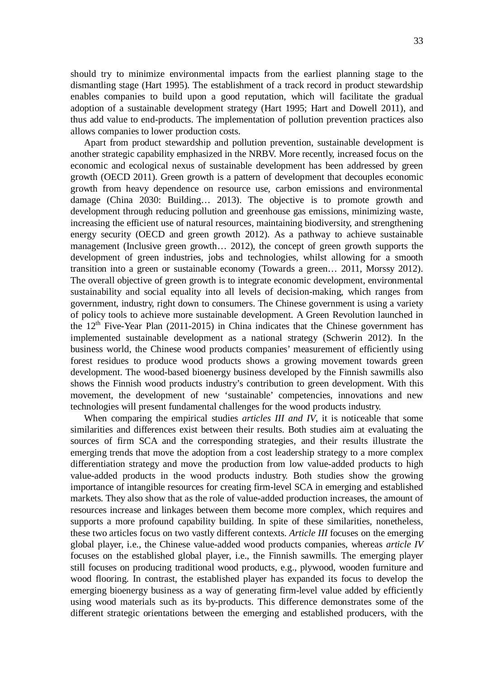should try to minimize environmental impacts from the earliest planning stage to the dismantling stage (Hart 1995). The establishment of a track record in product stewardship enables companies to build upon a good reputation, which will facilitate the gradual adoption of a sustainable development strategy (Hart 1995; Hart and Dowell 2011), and thus add value to end-products. The implementation of pollution prevention practices also allows companies to lower production costs.

Apart from product stewardship and pollution prevention, sustainable development is another strategic capability emphasized in the NRBV. More recently, increased focus on the economic and ecological nexus of sustainable development has been addressed by green growth (OECD 2011). Green growth is a pattern of development that decouples economic growth from heavy dependence on resource use, carbon emissions and environmental damage (China 2030: Building… 2013). The objective is to promote growth and development through reducing pollution and greenhouse gas emissions, minimizing waste, increasing the efficient use of natural resources, maintaining biodiversity, and strengthening energy security (OECD and green growth 2012). As a pathway to achieve sustainable management (Inclusive green growth… 2012), the concept of green growth supports the development of green industries, jobs and technologies, whilst allowing for a smooth transition into a green or sustainable economy (Towards a green… 2011, Morssy 2012). The overall objective of green growth is to integrate economic development, environmental sustainability and social equality into all levels of decision-making, which ranges from government, industry, right down to consumers. The Chinese government is using a variety of policy tools to achieve more sustainable development. A Green Revolution launched in the  $12<sup>th</sup>$  Five-Year Plan (2011-2015) in China indicates that the Chinese government has implemented sustainable development as a national strategy (Schwerin 2012). In the business world, the Chinese wood products companies' measurement of efficiently using forest residues to produce wood products shows a growing movement towards green development. The wood-based bioenergy business developed by the Finnish sawmills also shows the Finnish wood products industry's contribution to green development. With this movement, the development of new 'sustainable' competencies, innovations and new technologies will present fundamental challenges for the wood products industry.

When comparing the empirical studies *articles III and IV*, it is noticeable that some similarities and differences exist between their results. Both studies aim at evaluating the sources of firm SCA and the corresponding strategies, and their results illustrate the emerging trends that move the adoption from a cost leadership strategy to a more complex differentiation strategy and move the production from low value-added products to high value-added products in the wood products industry. Both studies show the growing importance of intangible resources for creating firm-level SCA in emerging and established markets. They also show that as the role of value-added production increases, the amount of resources increase and linkages between them become more complex, which requires and supports a more profound capability building. In spite of these similarities, nonetheless, these two articles focus on two vastly different contexts. *Article III* focuses on the emerging global player, i.e., the Chinese value-added wood products companies, whereas *article IV* focuses on the established global player, i.e., the Finnish sawmills. The emerging player still focuses on producing traditional wood products, e.g., plywood, wooden furniture and wood flooring. In contrast, the established player has expanded its focus to develop the emerging bioenergy business as a way of generating firm-level value added by efficiently using wood materials such as its by-products. This difference demonstrates some of the different strategic orientations between the emerging and established producers, with the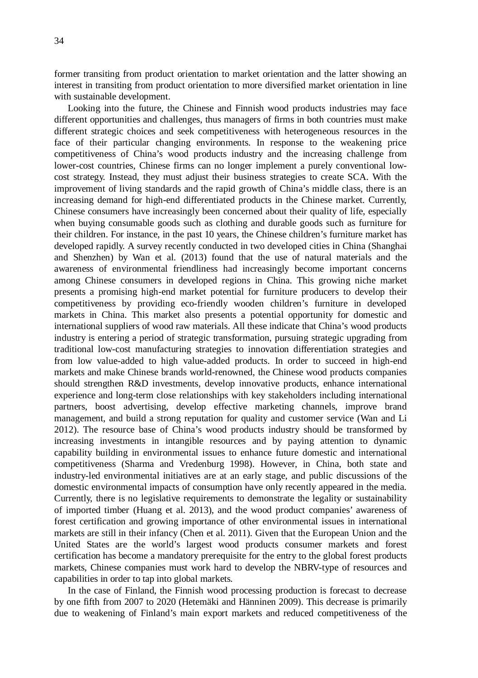former transiting from product orientation to market orientation and the latter showing an interest in transiting from product orientation to more diversified market orientation in line with sustainable development.

Looking into the future, the Chinese and Finnish wood products industries may face different opportunities and challenges, thus managers of firms in both countries must make different strategic choices and seek competitiveness with heterogeneous resources in the face of their particular changing environments. In response to the weakening price competitiveness of China's wood products industry and the increasing challenge from lower-cost countries, Chinese firms can no longer implement a purely conventional lowcost strategy. Instead, they must adjust their business strategies to create SCA. With the improvement of living standards and the rapid growth of China's middle class, there is an increasing demand for high-end differentiated products in the Chinese market. Currently, Chinese consumers have increasingly been concerned about their quality of life, especially when buying consumable goods such as clothing and durable goods such as furniture for their children. For instance, in the past 10 years, the Chinese children's furniture market has developed rapidly. A survey recently conducted in two developed cities in China (Shanghai and Shenzhen) by Wan et al. (2013) found that the use of natural materials and the awareness of environmental friendliness had increasingly become important concerns among Chinese consumers in developed regions in China. This growing niche market presents a promising high-end market potential for furniture producers to develop their competitiveness by providing eco-friendly wooden children's furniture in developed markets in China. This market also presents a potential opportunity for domestic and international suppliers of wood raw materials. All these indicate that China's wood products industry is entering a period of strategic transformation, pursuing strategic upgrading from traditional low-cost manufacturing strategies to innovation differentiation strategies and from low value-added to high value-added products. In order to succeed in high-end markets and make Chinese brands world-renowned, the Chinese wood products companies should strengthen R&D investments, develop innovative products, enhance international experience and long-term close relationships with key stakeholders including international partners, boost advertising, develop effective marketing channels, improve brand management, and build a strong reputation for quality and customer service (Wan and Li 2012). The resource base of China's wood products industry should be transformed by increasing investments in intangible resources and by paying attention to dynamic capability building in environmental issues to enhance future domestic and international competitiveness (Sharma and Vredenburg 1998). However, in China, both state and industry-led environmental initiatives are at an early stage, and public discussions of the domestic environmental impacts of consumption have only recently appeared in the media. Currently, there is no legislative requirements to demonstrate the legality or sustainability of imported timber (Huang et al. 2013), and the wood product companies' awareness of forest certification and growing importance of other environmental issues in international markets are still in their infancy (Chen et al. 2011). Given that the European Union and the United States are the world's largest wood products consumer markets and forest certification has become a mandatory prerequisite for the entry to the global forest products markets, Chinese companies must work hard to develop the NBRV-type of resources and capabilities in order to tap into global markets.

In the case of Finland, the Finnish wood processing production is forecast to decrease by one fifth from 2007 to 2020 (Hetemäki and Hänninen 2009). This decrease is primarily due to weakening of Finland's main export markets and reduced competitiveness of the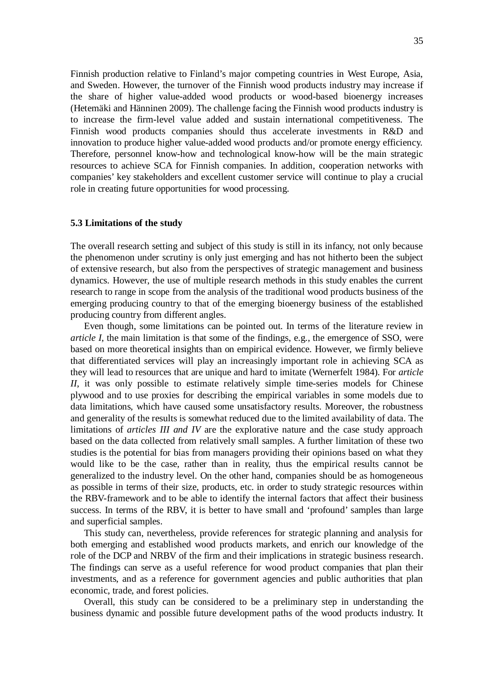Finnish production relative to Finland's major competing countries in West Europe, Asia, and Sweden. However, the turnover of the Finnish wood products industry may increase if the share of higher value-added wood products or wood-based bioenergy increases (Hetemäki and Hänninen 2009). The challenge facing the Finnish wood products industry is to increase the firm-level value added and sustain international competitiveness. The Finnish wood products companies should thus accelerate investments in R&D and innovation to produce higher value-added wood products and/or promote energy efficiency. Therefore, personnel know-how and technological know-how will be the main strategic resources to achieve SCA for Finnish companies. In addition, cooperation networks with companies' key stakeholders and excellent customer service will continue to play a crucial role in creating future opportunities for wood processing.

#### **5.3 Limitations of the study**

The overall research setting and subject of this study is still in its infancy, not only because the phenomenon under scrutiny is only just emerging and has not hitherto been the subject of extensive research, but also from the perspectives of strategic management and business dynamics. However, the use of multiple research methods in this study enables the current research to range in scope from the analysis of the traditional wood products business of the emerging producing country to that of the emerging bioenergy business of the established producing country from different angles.

Even though, some limitations can be pointed out. In terms of the literature review in *article I*, the main limitation is that some of the findings, e.g., the emergence of SSO, were based on more theoretical insights than on empirical evidence. However, we firmly believe that differentiated services will play an increasingly important role in achieving SCA as they will lead to resources that are unique and hard to imitate (Wernerfelt 1984). For *article II*, it was only possible to estimate relatively simple time-series models for Chinese plywood and to use proxies for describing the empirical variables in some models due to data limitations, which have caused some unsatisfactory results. Moreover, the robustness and generality of the results is somewhat reduced due to the limited availability of data. The limitations of *articles III and IV* are the explorative nature and the case study approach based on the data collected from relatively small samples. A further limitation of these two studies is the potential for bias from managers providing their opinions based on what they would like to be the case, rather than in reality, thus the empirical results cannot be generalized to the industry level. On the other hand, companies should be as homogeneous as possible in terms of their size, products, etc. in order to study strategic resources within the RBV-framework and to be able to identify the internal factors that affect their business success. In terms of the RBV, it is better to have small and 'profound' samples than large and superficial samples.

This study can, nevertheless, provide references for strategic planning and analysis for both emerging and established wood products markets, and enrich our knowledge of the role of the DCP and NRBV of the firm and their implications in strategic business research. The findings can serve as a useful reference for wood product companies that plan their investments, and as a reference for government agencies and public authorities that plan economic, trade, and forest policies.

Overall, this study can be considered to be a preliminary step in understanding the business dynamic and possible future development paths of the wood products industry. It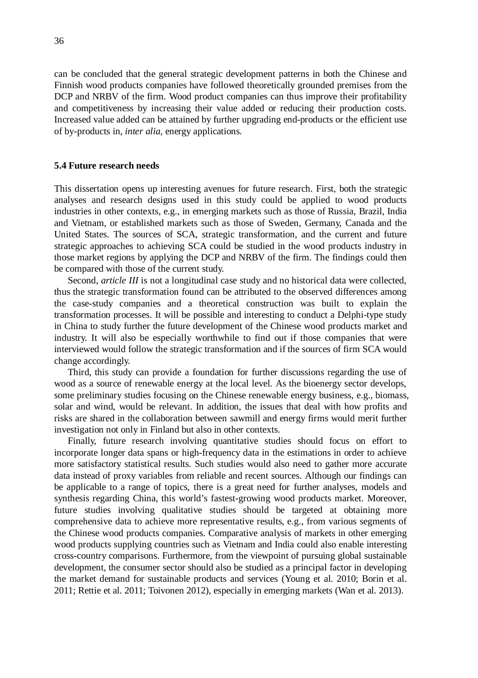can be concluded that the general strategic development patterns in both the Chinese and Finnish wood products companies have followed theoretically grounded premises from the DCP and NRBV of the firm. Wood product companies can thus improve their profitability and competitiveness by increasing their value added or reducing their production costs. Increased value added can be attained by further upgrading end-products or the efficient use of by-products in, *inter alia,* energy applications.

#### **5.4 Future research needs**

This dissertation opens up interesting avenues for future research. First, both the strategic analyses and research designs used in this study could be applied to wood products industries in other contexts, e.g., in emerging markets such as those of Russia, Brazil, India and Vietnam, or established markets such as those of Sweden, Germany, Canada and the United States. The sources of SCA, strategic transformation, and the current and future strategic approaches to achieving SCA could be studied in the wood products industry in those market regions by applying the DCP and NRBV of the firm. The findings could then be compared with those of the current study.

Second, *article III* is not a longitudinal case study and no historical data were collected, thus the strategic transformation found can be attributed to the observed differences among the case-study companies and a theoretical construction was built to explain the transformation processes. It will be possible and interesting to conduct a Delphi-type study in China to study further the future development of the Chinese wood products market and industry. It will also be especially worthwhile to find out if those companies that were interviewed would follow the strategic transformation and if the sources of firm SCA would change accordingly.

Third, this study can provide a foundation for further discussions regarding the use of wood as a source of renewable energy at the local level. As the bioenergy sector develops, some preliminary studies focusing on the Chinese renewable energy business, e.g., biomass, solar and wind, would be relevant. In addition, the issues that deal with how profits and risks are shared in the collaboration between sawmill and energy firms would merit further investigation not only in Finland but also in other contexts.

Finally, future research involving quantitative studies should focus on effort to incorporate longer data spans or high-frequency data in the estimations in order to achieve more satisfactory statistical results. Such studies would also need to gather more accurate data instead of proxy variables from reliable and recent sources. Although our findings can be applicable to a range of topics, there is a great need for further analyses, models and synthesis regarding China, this world's fastest-growing wood products market. Moreover, future studies involving qualitative studies should be targeted at obtaining more comprehensive data to achieve more representative results, e.g., from various segments of the Chinese wood products companies. Comparative analysis of markets in other emerging wood products supplying countries such as Vietnam and India could also enable interesting cross-country comparisons. Furthermore, from the viewpoint of pursuing global sustainable development, the consumer sector should also be studied as a principal factor in developing the market demand for sustainable products and services (Young et al. 2010; Borin et al. 2011; Rettie et al. 2011; Toivonen 2012), especially in emerging markets (Wan et al. 2013).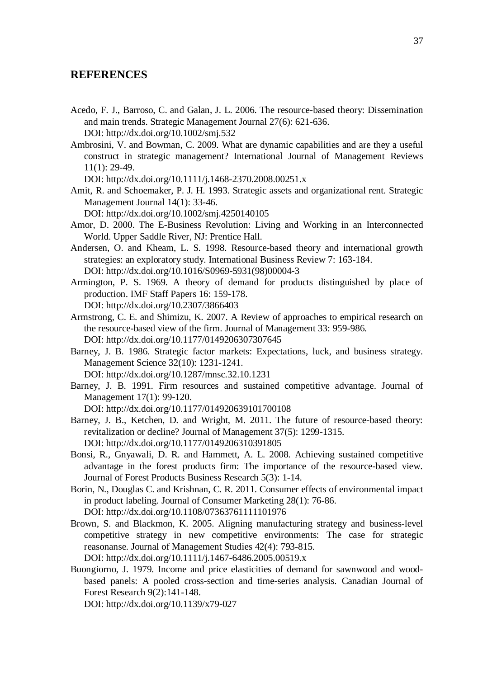### **REFERENCES**

- Acedo, F. J., Barroso, C. and Galan, J. L. 2006. The resource-based theory: Dissemination and main trends. Strategic Management Journal 27(6): 621-636. DOI: http://dx.doi.org/10.1002/smj.532
- Ambrosini, V. and Bowman, C. 2009. What are dynamic capabilities and are they a useful construct in strategic management? International Journal of Management Reviews 11(1): 29-49.

DOI: http://dx.doi.org/10.1111/j.1468-2370.2008.00251.x

Amit, R. and Schoemaker, P. J. H. 1993. Strategic assets and organizational rent. Strategic Management Journal 14(1): 33-46.

DOI: http://dx.doi.org/10.1002/smj.4250140105

- Amor, D. 2000. The E-Business Revolution: Living and Working in an Interconnected World. Upper Saddle River, NJ: Prentice Hall.
- Andersen, O. and Kheam, L. S. 1998. Resource-based theory and international growth strategies: an exploratory study. International Business Review 7: 163-184. DOI: http://dx.doi.org/10.1016/S0969-5931(98)00004-3
- Armington, P. S. 1969. A theory of demand for products distinguished by place of production. IMF Staff Papers 16: 159-178. DOI: http://dx.doi.org/10.2307/3866403
- Armstrong, C. E. and Shimizu, K. 2007. A Review of approaches to empirical research on the resource-based view of the firm. Journal of Management 33: 959-986. DOI: http://dx.doi.org/10.1177/0149206307307645
- Barney, J. B. 1986. Strategic factor markets: Expectations, luck, and business strategy. Management Science 32(10): 1231-1241.

DOI: http://dx.doi.org/10.1287/mnsc.32.10.1231

- Barney, J. B. 1991. Firm resources and sustained competitive advantage. Journal of Management 17(1): 99-120.
	- DOI: http://dx.doi.org/10.1177/014920639101700108
- Barney, J. B., Ketchen, D. and Wright, M. 2011. The future of resource-based theory: revitalization or decline? Journal of Management 37(5): 1299-1315. DOI: http://dx.doi.org/10.1177/0149206310391805
- Bonsi, R., Gnyawali, D. R. and Hammett, A. L. 2008. Achieving sustained competitive advantage in the forest products firm: The importance of the resource-based view. Journal of Forest Products Business Research 5(3): 1-14.
- Borin, N., Douglas C. and Krishnan, C. R. 2011. Consumer effects of environmental impact in product labeling. Journal of Consumer Marketing 28(1): 76-86. DOI: http://dx.doi.org/10.1108/07363761111101976
- Brown, S. and Blackmon, K. 2005. Aligning manufacturing strategy and business-level competitive strategy in new competitive environments: The case for strategic reasonanse. Journal of Management Studies 42(4): 793-815. DOI: http://dx.doi.org/10.1111/j.1467-6486.2005.00519.x
- Buongiorno, J. 1979. Income and price elasticities of demand for sawnwood and woodbased panels: A pooled cross-section and time-series analysis. Canadian Journal of Forest Research 9(2):141-148.

DOI: http://dx.doi.org/10.1139/x79-027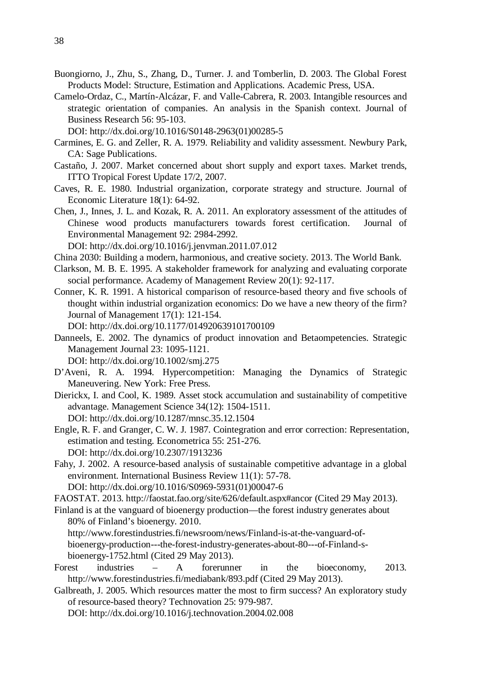- Buongiorno, J., Zhu, S., Zhang, D., Turner. J. and Tomberlin, D. 2003. The Global Forest Products Model: Structure, Estimation and Applications. Academic Press, USA.
- Camelo-Ordaz, C., Martín-Alcázar, F. and Valle-Cabrera, R. 2003. Intangible resources and strategic orientation of companies. An analysis in the Spanish context. Journal of Business Research 56: 95-103.

DOI: http://dx.doi.org/10.1016/S0148-2963(01)00285-5

- Carmines, E. G. and Zeller, R. A. 1979. Reliability and validity assessment. Newbury Park, CA: Sage Publications.
- Castaño, J. 2007. Market concerned about short supply and export taxes. Market trends, ITTO Tropical Forest Update 17/2, 2007.
- Caves, R. E. 1980. Industrial organization, corporate strategy and structure. Journal of Economic Literature 18(1): 64-92.
- Chen, J., Innes, J. L. and Kozak, R. A. 2011. An exploratory assessment of the attitudes of Chinese wood products manufacturers towards forest certification. Journal of Environmental Management 92: 2984-2992.

DOI: http://dx.doi.org/10.1016/j.jenvman.2011.07.012

- China 2030: Building a modern, harmonious, and creative society. 2013. The World Bank.
- Clarkson, M. B. E. 1995. A stakeholder framework for analyzing and evaluating corporate social performance. Academy of Management Review 20(1): 92-117.
- Conner, K. R. 1991. A historical comparison of resource-based theory and five schools of thought within industrial organization economics: Do we have a new theory of the firm? Journal of Management 17(1): 121-154.

DOI: http://dx.doi.org/10.1177/014920639101700109

Danneels, E. 2002. The dynamics of product innovation and Betaompetencies. Strategic Management Journal 23: 1095-1121.

DOI: http://dx.doi.org/10.1002/smj.275

- D'Aveni, R. A. 1994. Hypercompetition: Managing the Dynamics of Strategic Maneuvering. New York: Free Press.
- Dierickx, I. and Cool, K. 1989. Asset stock accumulation and sustainability of competitive advantage. Management Science 34(12): 1504-1511. DOI: http://dx.doi.org/10.1287/mnsc.35.12.1504
- Engle, R. F. and Granger, C. W. J. 1987. Cointegration and error correction: Representation, estimation and testing. Econometrica 55: 251-276. DOI: http://dx.doi.org/10.2307/1913236
- Fahy, J. 2002. A resource-based analysis of sustainable competitive advantage in a global environment. International Business Review 11(1): 57-78. DOI: http://dx.doi.org/10.1016/S0969-5931(01)00047-6

FAOSTAT. 2013. http://faostat.fao.org/site/626/default.aspx#ancor (Cited 29 May 2013).

Finland is at the vanguard of bioenergy production—the forest industry generates about 80% of Finland's bioenergy. 2010.

http://www.forestindustries.fi/newsroom/news/Finland-is-at-the-vanguard-ofbioenergy-production---the-forest-industry-generates-about-80---of-Finland-sbioenergy-1752.html (Cited 29 May 2013).

- Forest industries A forerunner in the bioeconomy, 2013. http://www.forestindustries.fi/mediabank/893.pdf (Cited 29 May 2013).
- Galbreath, J. 2005. Which resources matter the most to firm success? An exploratory study of resource-based theory? Technovation 25: 979-987.

DOI: http://dx.doi.org/10.1016/j.technovation.2004.02.008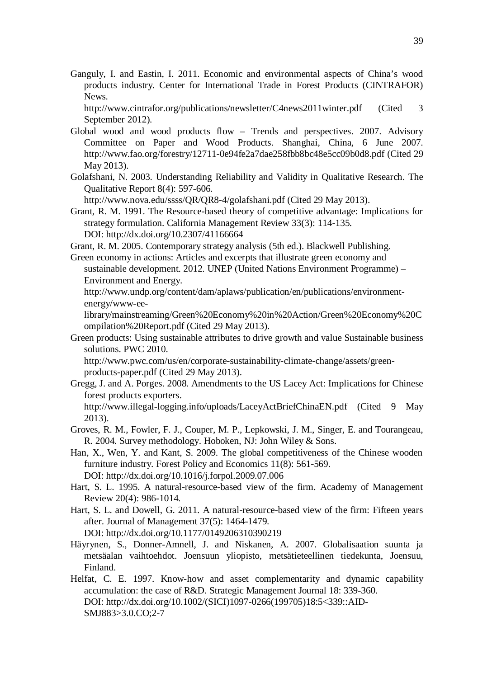Ganguly, I. and Eastin, I. 2011. Economic and environmental aspects of China's wood products industry. Center for International Trade in Forest Products (CINTRAFOR) News.

http://www.cintrafor.org/publications/newsletter/C4news2011winter.pdf (Cited 3 September 2012).

- Global wood and wood products flow Trends and perspectives. 2007. Advisory Committee on Paper and Wood Products. Shanghai, China, 6 June 2007. http://www.fao.org/forestry/12711-0e94fe2a7dae258fbb8bc48e5cc09b0d8.pdf (Cited 29 May 2013).
- Golafshani, N. 2003. Understanding Reliability and Validity in Qualitative Research. The Qualitative Report 8(4): 597-606.

http://www.nova.edu/ssss/QR/QR8-4/golafshani.pdf (Cited 29 May 2013).

Grant, R. M. 1991. The Resource-based theory of competitive advantage: Implications for strategy formulation. California Management Review 33(3): 114-135. DOI: http://dx.doi.org/10.2307/41166664

Grant, R. M. 2005. Contemporary strategy analysis (5th ed.). Blackwell Publishing.

Green economy in actions: Articles and excerpts that illustrate green economy and sustainable development. 2012. UNEP (United Nations Environment Programme) – Environment and Energy.

http://www.undp.org/content/dam/aplaws/publication/en/publications/environmentenergy/www-ee-

library/mainstreaming/Green%20Economy%20in%20Action/Green%20Economy%20C ompilation%20Report.pdf (Cited 29 May 2013).

Green products: Using sustainable attributes to drive growth and value Sustainable business solutions. PWC 2010.

http://www.pwc.com/us/en/corporate-sustainability-climate-change/assets/greenproducts-paper.pdf (Cited 29 May 2013).

Gregg, J. and A. Porges. 2008. Amendments to the US Lacey Act: Implications for Chinese forest products exporters.

http://www.illegal-logging.info/uploads/LaceyActBriefChinaEN.pdf (Cited 9 May 2013).

- Groves, R. M., Fowler, F. J., Couper, M. P., Lepkowski, J. M., Singer, E. and Tourangeau, R. 2004. Survey methodology. Hoboken, NJ: John Wiley & Sons.
- Han, X., Wen, Y. and Kant, S. 2009. The global competitiveness of the Chinese wooden furniture industry. Forest Policy and Economics 11(8): 561-569. DOI: http://dx.doi.org/10.1016/j.forpol.2009.07.006
- Hart, S. L. 1995. A natural-resource-based view of the firm. Academy of Management Review 20(4): 986-1014.
- Hart, S. L. and Dowell, G. 2011. A natural-resource-based view of the firm: Fifteen years after. Journal of Management 37(5): 1464-1479.

DOI: http://dx.doi.org/10.1177/0149206310390219

- Häyrynen, S., Donner-Amnell, J. and Niskanen, A. 2007. Globalisaation suunta ja metsäalan vaihtoehdot. Joensuun yliopisto, metsätieteellinen tiedekunta, Joensuu, Finland.
- Helfat, C. E. 1997. Know-how and asset complementarity and dynamic capability accumulation: the case of R&D. Strategic Management Journal 18: 339-360. DOI: http://dx.doi.org/10.1002/(SICI)1097-0266(199705)18:5<339::AID-SMJ883>3.0.CO;2-7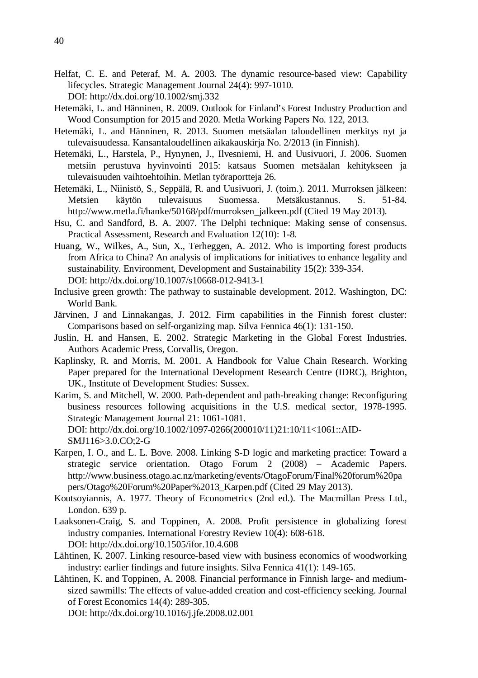- Helfat, C. E. and Peteraf, M. A. 2003. The dynamic resource-based view: Capability lifecycles. Strategic Management Journal 24(4): 997-1010. DOI: http://dx.doi.org/10.1002/smj.332
- Hetemäki, L. and Hänninen, R. 2009. Outlook for Finland's Forest Industry Production and Wood Consumption for 2015 and 2020. Metla Working Papers No. 122, 2013.
- Hetemäki, L. and Hänninen, R. 2013. Suomen metsäalan taloudellinen merkitys nyt ja tulevaisuudessa. Kansantaloudellinen aikakauskirja No. 2/2013 (in Finnish).
- Hetemäki, L., Harstela, P., Hynynen, J., Ilvesniemi, H. and Uusivuori, J. 2006. Suomen metsiin perustuva hyvinvointi 2015: katsaus Suomen metsäalan kehitykseen ja tulevaisuuden vaihtoehtoihin. Metlan työraportteja 26.
- Hetemäki, L., Niinistö, S., Seppälä, R. and Uusivuori, J. (toim.). 2011. Murroksen jälkeen: Metsien käytön tulevaisuus Suomessa. Metsäkustannus. S. 51-84. http://www.metla.fi/hanke/50168/pdf/murroksen\_jalkeen.pdf (Cited 19 May 2013).
- Hsu, C. and Sandford, B. A. 2007. The Delphi technique: Making sense of consensus. Practical Assessment, Research and Evaluation 12(10): 1-8.
- Huang, W., Wilkes, A., Sun, X., Terheggen, A. 2012. Who is importing forest products from Africa to China? An analysis of implications for initiatives to enhance legality and sustainability. Environment, Development and Sustainability 15(2): 339-354. DOI: http://dx.doi.org/10.1007/s10668-012-9413-1
- Inclusive green growth: The pathway to sustainable development. 2012. Washington, DC: World Bank.
- Järvinen, J and Linnakangas, J. 2012. Firm capabilities in the Finnish forest cluster: Comparisons based on self-organizing map. Silva Fennica 46(1): 131-150.
- Juslin, H. and Hansen, E. 2002. Strategic Marketing in the Global Forest Industries. Authors Academic Press, Corvallis, Oregon.
- Kaplinsky, R. and Morris, M. 2001. A Handbook for Value Chain Research. Working Paper prepared for the International Development Research Centre (IDRC), Brighton, UK., Institute of Development Studies: Sussex.
- Karim, S. and Mitchell, W. 2000. Path-dependent and path-breaking change: Reconfiguring business resources following acquisitions in the U.S. medical sector, 1978-1995. Strategic Management Journal 21: 1061-1081.
	- DOI: http://dx.doi.org/10.1002/1097-0266(200010/11)21:10/11<1061::AID-SMJ116>3.0.CO;2-G
- Karpen, I. O., and L. L. Bove. 2008. Linking S-D logic and marketing practice: Toward a strategic service orientation. Otago Forum 2 (2008) – Academic Papers. http://www.business.otago.ac.nz/marketing/events/OtagoForum/Final%20forum%20pa pers/Otago%20Forum%20Paper%2013\_Karpen.pdf (Cited 29 May 2013).
- Koutsoyiannis, A. 1977. Theory of Econometrics (2nd ed.). The Macmillan Press Ltd., London. 639 p.
- Laaksonen-Craig, S. and Toppinen, A. 2008. Profit persistence in globalizing forest industry companies. International Forestry Review 10(4): 608-618. DOI: http://dx.doi.org/10.1505/ifor.10.4.608
- Lähtinen, K. 2007. Linking resource-based view with business economics of woodworking industry: earlier findings and future insights. Silva Fennica 41(1): 149-165.
- Lähtinen, K. and Toppinen, A. 2008. Financial performance in Finnish large- and mediumsized sawmills: The effects of value-added creation and cost-efficiency seeking. Journal of Forest Economics 14(4): 289-305.

DOI: http://dx.doi.org/10.1016/j.jfe.2008.02.001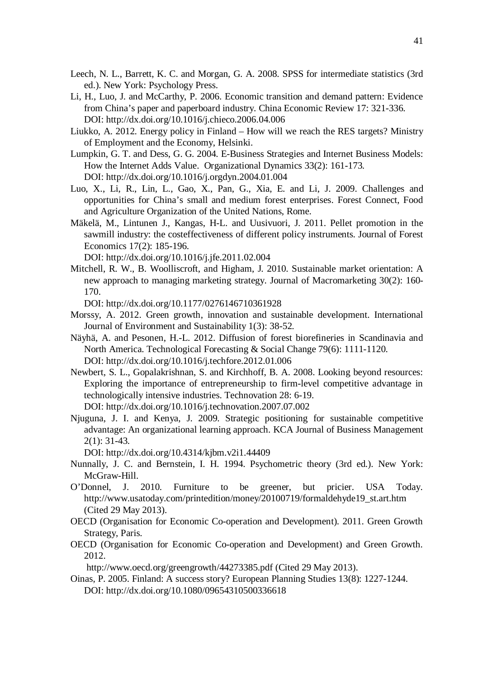- Leech, N. L., Barrett, K. C. and Morgan, G. A. 2008. SPSS for intermediate statistics (3rd ed.). New York: Psychology Press.
- Li, H., Luo, J. and McCarthy, P. 2006. Economic transition and demand pattern: Evidence from China's paper and paperboard industry. China Economic Review 17: 321-336. DOI: http://dx.doi.org/10.1016/j.chieco.2006.04.006
- Liukko, A. 2012. Energy policy in Finland How will we reach the RES targets? Ministry of Employment and the Economy, Helsinki.
- Lumpkin, G. T. and Dess, G. G. 2004. E-Business Strategies and Internet Business Models: How the Internet Adds Value. Organizational Dynamics 33(2): 161-173. DOI: http://dx.doi.org/10.1016/j.orgdyn.2004.01.004
- Luo, X., Li, R., Lin, L., Gao, X., Pan, G., Xia, E. and Li, J. 2009. Challenges and opportunities for China's small and medium forest enterprises. Forest Connect, Food and Agriculture Organization of the United Nations, Rome.
- Mäkelä, M., Lintunen J., Kangas, H-L. and Uusivuori, J. 2011. Pellet promotion in the sawmill industry: the costeffectiveness of different policy instruments. Journal of Forest Economics 17(2): 185-196.

DOI: http://dx.doi.org/10.1016/j.jfe.2011.02.004

Mitchell, R. W., B. Woolliscroft, and Higham, J. 2010. Sustainable market orientation: A new approach to managing marketing strategy. Journal of Macromarketing 30(2): 160- 170.

DOI: http://dx.doi.org/10.1177/0276146710361928

- Morssy, A. 2012. Green growth, innovation and sustainable development. International Journal of Environment and Sustainability 1(3): 38-52.
- Näyhä, A. and Pesonen, H.-L. 2012. Diffusion of forest biorefineries in Scandinavia and North America. Technological Forecasting & Social Change 79(6): 1111-1120. DOI: http://dx.doi.org/10.1016/j.techfore.2012.01.006
- Newbert, S. L., Gopalakrishnan, S. and Kirchhoff, B. A. 2008. Looking beyond resources: Exploring the importance of entrepreneurship to firm-level competitive advantage in technologically intensive industries. Technovation 28: 6-19. DOI: http://dx.doi.org/10.1016/j.technovation.2007.07.002
- Njuguna, J. I. and Kenya, J. 2009. Strategic positioning for sustainable competitive advantage: An organizational learning approach. KCA Journal of Business Management 2(1): 31-43.

DOI: http://dx.doi.org/10.4314/kjbm.v2i1.44409

- Nunnally, J. C. and Bernstein, I. H. 1994. Psychometric theory (3rd ed.). New York: McGraw-Hill.
- O'Donnel, J. 2010. Furniture to be greener, but pricier. USA Today. http://www.usatoday.com/printedition/money/20100719/formaldehyde19\_st.art.htm (Cited 29 May 2013).
- OECD (Organisation for Economic Co-operation and Development). 2011. Green Growth Strategy, Paris.
- OECD (Organisation for Economic Co-operation and Development) and Green Growth. 2012.

http://www.oecd.org/greengrowth/44273385.pdf (Cited 29 May 2013).

Oinas, P. 2005. Finland: A success story? European Planning Studies 13(8): 1227-1244. DOI: http://dx.doi.org/10.1080/09654310500336618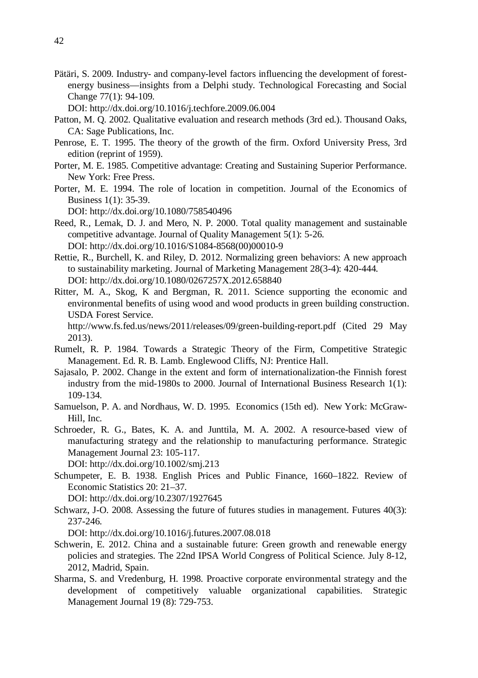Pätäri, S. 2009. Industry- and company-level factors influencing the development of forestenergy business—insights from a Delphi study. Technological Forecasting and Social Change 77(1): 94-109.

DOI: http://dx.doi.org/10.1016/j.techfore.2009.06.004

- Patton, M. Q. 2002. Qualitative evaluation and research methods (3rd ed.). Thousand Oaks, CA: Sage Publications, Inc.
- Penrose, E. T. 1995. The theory of the growth of the firm. Oxford University Press, 3rd edition (reprint of 1959).
- Porter, M. E. 1985. Competitive advantage: Creating and Sustaining Superior Performance. New York: Free Press.
- Porter, M. E. 1994. The role of location in competition. Journal of the Economics of Business 1(1): 35-39.

DOI: http://dx.doi.org/10.1080/758540496

- Reed, R., Lemak, D. J. and Mero, N. P. 2000. Total quality management and sustainable competitive advantage. Journal of Quality Management 5(1): 5-26. DOI: http://dx.doi.org/10.1016/S1084-8568(00)00010-9
- Rettie, R., Burchell, K. and Riley, D. 2012. Normalizing green behaviors: A new approach to sustainability marketing. Journal of Marketing Management 28(3-4): 420-444. DOI: http://dx.doi.org/10.1080/0267257X.2012.658840
- Ritter, M. A., Skog, K and Bergman, R. 2011. Science supporting the economic and environmental benefits of using wood and wood products in green building construction. USDA Forest Service.

http://www.fs.fed.us/news/2011/releases/09/green-building-report.pdf (Cited 29 May 2013).

- Rumelt, R. P. 1984. Towards a Strategic Theory of the Firm, Competitive Strategic Management. Ed. R. B. Lamb. Englewood Cliffs, NJ: Prentice Hall.
- Sajasalo, P. 2002. Change in the extent and form of internationalization-the Finnish forest industry from the mid-1980s to 2000. Journal of International Business Research 1(1): 109-134.
- Samuelson, P. A. and Nordhaus, W. D. 1995. Economics (15th ed). New York: McGraw-Hill, Inc.
- Schroeder, R. G., Bates, K. A. and Junttila, M. A. 2002. A resource-based view of manufacturing strategy and the relationship to manufacturing performance. Strategic Management Journal 23: 105-117.

DOI: http://dx.doi.org/10.1002/smj.213

Schumpeter, E. B. 1938. English Prices and Public Finance, 1660–1822. Review of Economic Statistics 20: 21–37.

DOI: http://dx.doi.org/10.2307/1927645

Schwarz, J-O. 2008. Assessing the future of futures studies in management. Futures 40(3): 237-246.

DOI: http://dx.doi.org/10.1016/j.futures.2007.08.018

- Schwerin, E. 2012. China and a sustainable future: Green growth and renewable energy policies and strategies. The 22nd IPSA World Congress of Political Science. July 8-12, 2012, Madrid, Spain.
- Sharma, S. and Vredenburg, H. 1998. Proactive corporate environmental strategy and the development of competitively valuable organizational capabilities. Strategic Management Journal 19 (8): 729-753.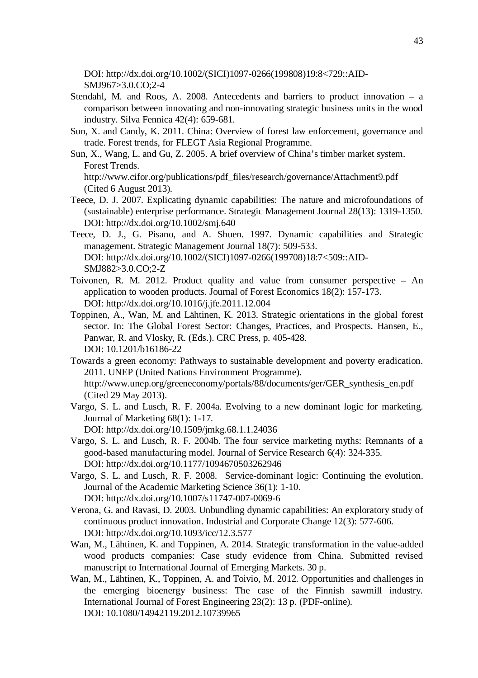DOI: http://dx.doi.org/10.1002/(SICI)1097-0266(199808)19:8<729::AID-SMJ967>3.0.CO;2-4

- Stendahl, M. and Roos, A. 2008. Antecedents and barriers to product innovation a comparison between innovating and non-innovating strategic business units in the wood industry. Silva Fennica 42(4): 659-681.
- Sun, X. and Candy, K. 2011. China: Overview of forest law enforcement, governance and trade. Forest trends, for FLEGT Asia Regional Programme.
- Sun, X., Wang, L. and Gu, Z. 2005. A brief overview of China's timber market system. Forest Trends.

http://www.cifor.org/publications/pdf\_files/research/governance/Attachment9.pdf (Cited 6 August 2013).

- Teece, D. J. 2007. Explicating dynamic capabilities: The nature and microfoundations of (sustainable) enterprise performance. Strategic Management Journal 28(13): 1319-1350. DOI: http://dx.doi.org/10.1002/smj.640
- Teece, D. J., G. Pisano, and A. Shuen. 1997. Dynamic capabilities and Strategic management. Strategic Management Journal 18(7): 509-533. DOI: http://dx.doi.org/10.1002/(SICI)1097-0266(199708)18:7<509::AID-SMJ882>3.0.CO;2-Z
- Toivonen, R. M. 2012. Product quality and value from consumer perspective An application to wooden products. Journal of Forest Economics 18(2): 157-173. DOI: http://dx.doi.org/10.1016/j.jfe.2011.12.004
- Toppinen, A., Wan, M. and Lähtinen, K. 2013. Strategic orientations in the global forest sector. In: The Global Forest Sector: Changes, Practices, and Prospects. Hansen, E., Panwar, R. and Vlosky, R. (Eds.). CRC Press, p. 405-428. DOI: 10.1201/b16186- 22
- Towards a green economy: Pathways to sustainable development and poverty eradication. 2011. UNEP (United Nations Environment Programme). http://www.unep.org/greeneconomy/portals/88/documents/ger/GER\_synthesis\_en.pdf (Cited 29 May 2013).
- Vargo, S. L. and Lusch, R. F. 2004a. Evolving to a new dominant logic for marketing. Journal of Marketing 68(1): 1-17.
	- DOI: http://dx.doi.org/10.1509/jmkg.68.1.1.24036
- Vargo, S. L. and Lusch, R. F. 2004b. The four service marketing myths: Remnants of a good-based manufacturing model. Journal of Service Research 6(4): 324-335. DOI: http://dx.doi.org/10.1177/1094670503262946
- Vargo, S. L. and Lusch, R. F. 2008. Service-dominant logic: Continuing the evolution. Journal of the Academic Marketing Science 36(1): 1-10. DOI: http://dx.doi.org/10.1007/s11747-007-0069-6
- Verona, G. and Ravasi, D. 2003. Unbundling dynamic capabilities: An exploratory study of continuous product innovation. Industrial and Corporate Change 12(3): 577-606. DOI: http://dx.doi.org/10.1093/icc/12.3.577
- Wan, M., Lähtinen, K. and Toppinen, A. 2014. Strategic transformation in the value-added wood products companies: Case study evidence from China. Submitted revised manuscript to International Journal of Emerging Markets. 30 p.
- Wan, M., Lähtinen, K., Toppinen, A. and Toivio, M. 2012. Opportunities and challenges in the emerging bioenergy business: The case of the Finnish sawmill industry. International Journal of Forest Engineering 23(2): 13 p. (PDF-online). DOI: 10.1080/14942119.2012.10739965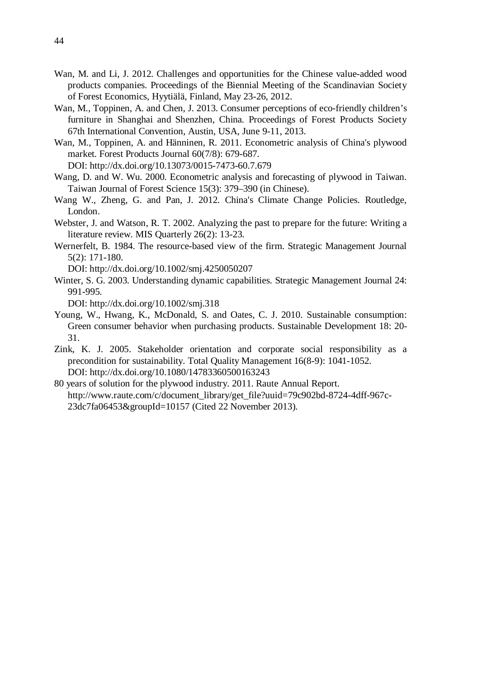- Wan, M. and Li, J. 2012. Challenges and opportunities for the Chinese value-added wood products companies. Proceedings of the Biennial Meeting of the Scandinavian Society of Forest Economics, Hyytiälä, Finland, May 23-26, 2012.
- Wan, M., Toppinen, A. and Chen, J. 2013. Consumer perceptions of eco-friendly children's furniture in Shanghai and Shenzhen, China. Proceedings of Forest Products Society 67th International Convention, Austin, USA, June 9-11, 2013.
- Wan, M., Toppinen, A. and Hänninen, R. 2011. Econometric analysis of China's plywood market. Forest Products Journal 60(7/8): 679-687.

DOI: http://dx.doi.org/10.13073/0015-7473-60.7.679

- Wang, D. and W. Wu. 2000. Econometric analysis and forecasting of plywood in Taiwan. Taiwan Journal of Forest Science 15(3): 379–390 (in Chinese).
- Wang W., Zheng, G. and Pan, J. 2012. China's Climate Change Policies. Routledge, London.
- Webster, J. and Watson, R. T. 2002. Analyzing the past to prepare for the future: Writing a literature review. MIS Quarterly 26(2): 13-23.
- Wernerfelt, B. 1984. The resource-based view of the firm. Strategic Management Journal 5(2): 171-180.

DOI: http://dx.doi.org/10.1002/smj.4250050207

Winter, S. G. 2003. Understanding dynamic capabilities. Strategic Management Journal 24: 991-995.

DOI: http://dx.doi.org/10.1002/smj.318

- Young, W., Hwang, K., McDonald, S. and Oates, C. J. 2010. Sustainable consumption: Green consumer behavior when purchasing products. Sustainable Development 18: 20- 31.
- Zink, K. J. 2005. Stakeholder orientation and corporate social responsibility as a precondition for sustainability. Total Quality Management 16(8-9): 1041-1052. DOI: http://dx.doi.org/10.1080/14783360500163243
- 80 years of solution for the plywood industry. 2011. Raute Annual Report. http://www.raute.com/c/document\_library/get\_file?uuid=79c902bd-8724-4dff-967c-23dc7fa06453&groupId=10157 (Cited 22 November 2013).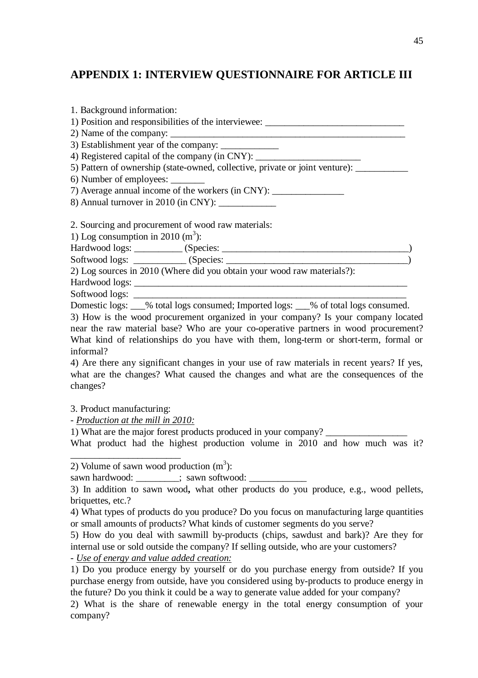# **APPENDIX 1: INTERVIEW QUESTIONNAIRE FOR ARTICLE III**

| 1. Background information:                                                            |  |
|---------------------------------------------------------------------------------------|--|
| 1) Position and responsibilities of the interviewee: ____________________________     |  |
|                                                                                       |  |
|                                                                                       |  |
| 4) Registered capital of the company (in CNY): __________________________________     |  |
| 5) Pattern of ownership (state-owned, collective, private or joint venture): ________ |  |
| 6) Number of employees:                                                               |  |
| 7) Average annual income of the workers (in CNY): _______________________________     |  |
| 8) Annual turnover in 2010 (in CNY): ____________                                     |  |
| 2. Sourcing and procurement of wood raw materials:                                    |  |
| 1) Log consumption in 2010 $(m^3)$ :                                                  |  |
|                                                                                       |  |
|                                                                                       |  |
| 2) Log sources in 2010 (Where did you obtain your wood raw materials?):               |  |
|                                                                                       |  |
|                                                                                       |  |

Softwood logs:

Domestic logs:  $\%$  total logs consumed; Imported logs:  $\%$  of total logs consumed.

3) How is the wood procurement organized in your company? Is your company located near the raw material base? Who are your co-operative partners in wood procurement? What kind of relationships do you have with them, long-term or short-term, formal or informal?

4) Are there any significant changes in your use of raw materials in recent years? If yes, what are the changes? What caused the changes and what are the consequences of the changes?

3. Product manufacturing:

*- Production at the mill in 2010:*

1) What are the major forest products produced in your company?

What product had the highest production volume in 2010 and how much was it? \_\_\_\_\_\_\_\_\_\_\_\_\_\_\_\_\_\_\_\_\_\_\_

2) Volume of sawn wood production  $(m^3)$ :

sawn hardwood:  $\qquad \qquad ;\;$  sawn softwood:

3) In addition to sawn wood**,** what other products do you produce, e.g., wood pellets, briquettes, etc.?

4) What types of products do you produce? Do you focus on manufacturing large quantities or small amounts of products? What kinds of customer segments do you serve?

5) How do you deal with sawmill by-products (chips, sawdust and bark)? Are they for internal use or sold outside the company? If selling outside, who are your customers?

*- Use of energy and value added creation:* 

1) Do you produce energy by yourself or do you purchase energy from outside? If you purchase energy from outside, have you considered using by-products to produce energy in the future? Do you think it could be a way to generate value added for your company?

2) What is the share of renewable energy in the total energy consumption of your company?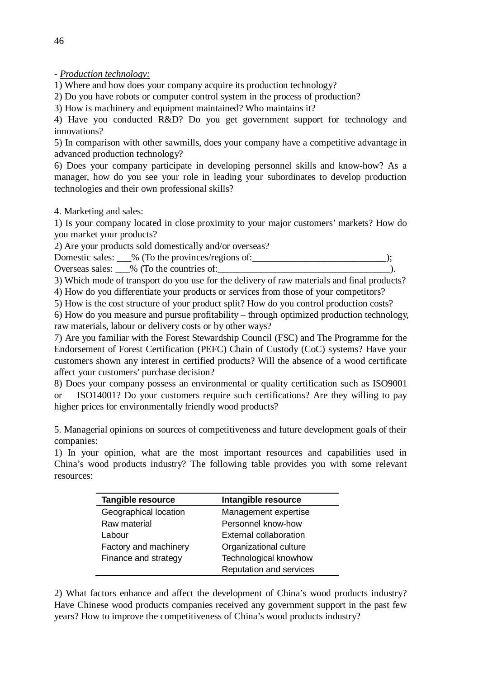- *Production technology:*

1) Where and how does your company acquire its production technology?

2) Do you have robots or computer control system in the process of production?

3) How is machinery and equipment maintained? Who maintains it?

4) Have you conducted R&D? Do you get government support for technology and innovations?

5) In comparison with other sawmills, does your company have a competitive advantage in advanced production technology?

6) Does your company participate in developing personnel skills and know-how? As a manager, how do you see your role in leading your subordinates to develop production technologies and their own professional skills?

4. Marketing and sales:

1) Is your company located in close proximity to your major customers' markets? How do you market your products?

2) Are your products sold domestically and/or overseas?

Domestic sales: \_\_\_% (To the provinces/regions of:\_\_\_\_\_\_\_\_\_\_\_\_\_\_\_\_\_\_\_\_\_\_\_\_\_\_\_\_);

Overseas sales: \_\_\_% (To the countries of:

3) Which mode of transport do you use for the delivery of raw materials and final products?

4) How do you differentiate your products or services from those of your competitors?

5) How is the cost structure of your product split? How do you control production costs?

6) How do you measure and pursue profitability – through optimized production technology, raw materials, labour or delivery costs or by other ways?

7) Are you familiar with the Forest Stewardship Council (FSC) and The Programme for the Endorsement of Forest Certification (PEFC) Chain of Custody (CoC) systems? Have your customers shown any interest in certified products? Will the absence of a wood certificate affect your customers' purchase decision?

8) Does your company possess an environmental or quality certification such as ISO9001 ISO14001? Do your customers require such certifications? Are they willing to pay higher prices for environmentally friendly wood products?

5. Managerial opinions on sources of competitiveness and future development goals of their companies:

1) In your opinion, what are the most important resources and capabilities used in China's wood products industry? The following table provides you with some relevant resources:

| <b>Tangible resource</b> | Intangible resource     |
|--------------------------|-------------------------|
| Geographical location    | Management expertise    |
| Raw material             | Personnel know-how      |
| Labour                   | External collaboration  |
| Factory and machinery    | Organizational culture  |
| Finance and strategy     | Technological knowhow   |
|                          | Reputation and services |

2) What factors enhance and affect the development of China's wood products industry? Have Chinese wood products companies received any government support in the past few years? How to improve the competitiveness of China's wood products industry?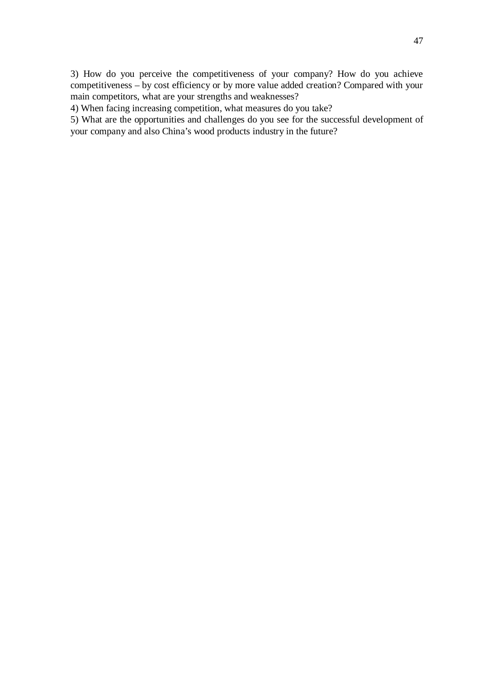3) How do you perceive the competitiveness of your company? How do you achieve competitiveness – by cost efficiency or by more value added creation? Compared with your main competitors, what are your strengths and weaknesses?

4) When facing increasing competition, what measures do you take?

5) What are the opportunities and challenges do you see for the successful development of your company and also China's wood products industry in the future?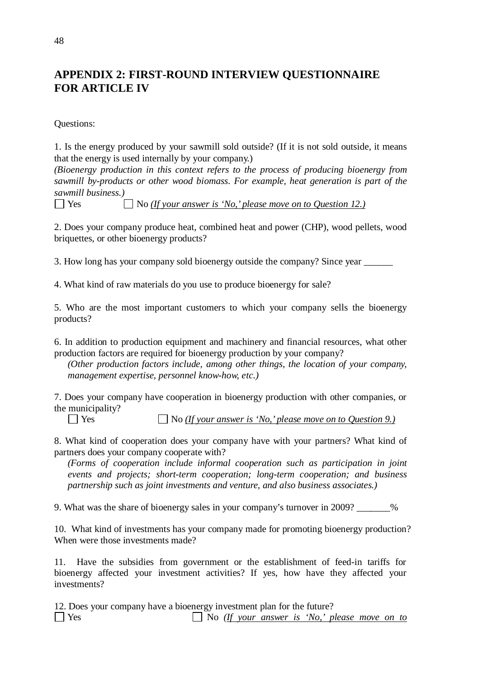# **APPENDIX 2: FIRST-ROUND INTERVIEW QUESTIONNAIRE FOR ARTICLE IV**

Questions:

1. Is the energy produced by your sawmill sold outside? (If it is not sold outside, it means that the energy is used internally by your company.)

*(Bioenergy production in this context refers to the process of producing bioenergy from sawmill by-products or other wood biomass. For example, heat generation is part of the sawmill business.)* 

Yes No *(If your answer is 'No,' please move on to Question 12.)*

2. Does your company produce heat, combined heat and power (CHP), wood pellets, wood briquettes, or other bioenergy products?

3. How long has your company sold bioenergy outside the company? Since year

4. What kind of raw materials do you use to produce bioenergy for sale?

5. Who are the most important customers to which your company sells the bioenergy products?

6. In addition to production equipment and machinery and financial resources, what other production factors are required for bioenergy production by your company?

*(Other production factors include, among other things, the location of your company, management expertise, personnel know-how, etc.)* 

7. Does your company have cooperation in bioenergy production with other companies, or the municipality?

Yes No *(If your answer is 'No,' please move on to Question 9.)*

8. What kind of cooperation does your company have with your partners? What kind of partners does your company cooperate with?

*(Forms of cooperation include informal cooperation such as participation in joint events and projects; short-term cooperation; long-term cooperation; and business partnership such as joint investments and venture, and also business associates.)* 

9. What was the share of bioenergy sales in your company's turnover in 2009?  $\frac{96}{200}$ 

10. What kind of investments has your company made for promoting bioenergy production? When were those investments made?

11. Have the subsidies from government or the establishment of feed-in tariffs for bioenergy affected your investment activities? If yes, how have they affected your investments?

12. Does your company have a bioenergy investment plan for the future? Yes No *(If your answer is 'No,' please move on to*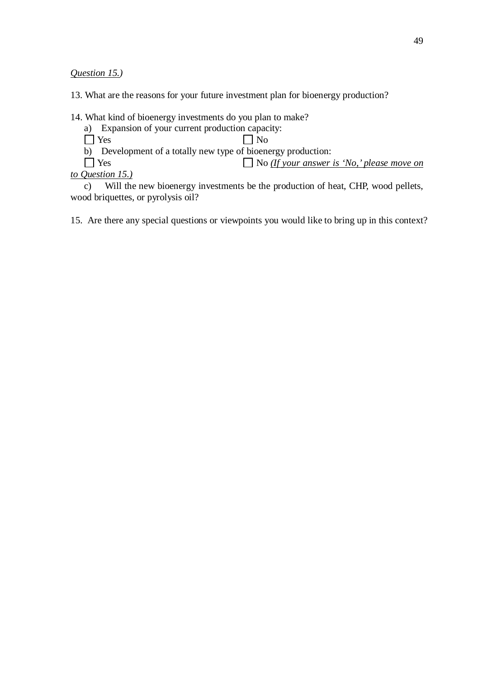*Question 15.)*

13. What are the reasons for your future investment plan for bioenergy production?

14. What kind of bioenergy investments do you plan to make?

a) Expansion of your current production capacity:

 $\Box$  Yes  $\Box$  No

b) Development of a totally new type of bioenergy production:<br>  $\Box$  Yes  $\Box$  No *(If your answer*)

□ No *(If your answer is 'No,' please move on to Question 15.)* 

c) Will the new bioenergy investments be the production of heat, CHP, wood pellets, wood briquettes, or pyrolysis oil?

15. Are there any special questions or viewpoints you would like to bring up in this context?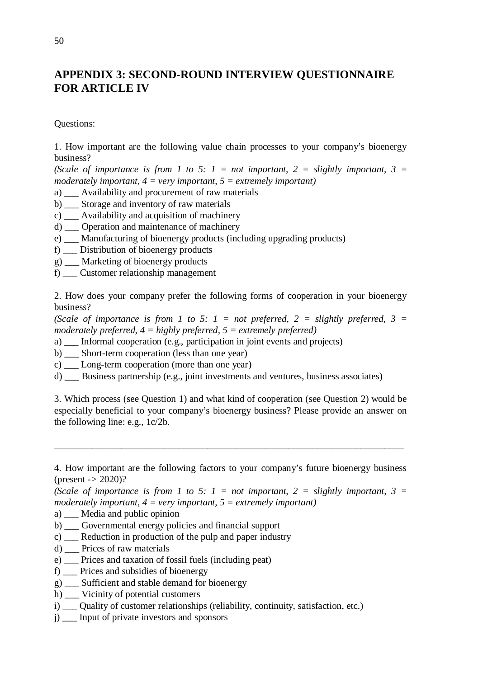# **APPENDIX 3: SECOND-ROUND INTERVIEW QUESTIONNAIRE FOR ARTICLE IV**

Questions:

1. How important are the following value chain processes to your company's bioenergy business?

*(Scale of importance is from 1 to 5: 1 = not important, 2 = slightly important, 3 = moderately important, 4 = very important, 5 = extremely important)* 

a) \_\_\_ Availability and procurement of raw materials

- b) \_\_\_ Storage and inventory of raw materials
- c) \_\_\_ Availability and acquisition of machinery
- d) \_\_\_ Operation and maintenance of machinery
- e) \_\_\_ Manufacturing of bioenergy products (including upgrading products)
- f) \_\_\_ Distribution of bioenergy products
- g) \_\_\_ Marketing of bioenergy products
- f) \_\_\_ Customer relationship management

2. How does your company prefer the following forms of cooperation in your bioenergy business?

*(Scale of importance is from 1 to 5: 1 = not preferred, 2 = slightly preferred, 3 = moderately preferred, 4 = highly preferred, 5 = extremely preferred)* 

- a) \_\_\_ Informal cooperation (e.g., participation in joint events and projects)
- b) \_\_\_ Short-term cooperation (less than one year)
- c) \_\_\_ Long-term cooperation (more than one year)
- d) \_\_\_ Business partnership (e.g., joint investments and ventures, business associates)

3. Which process (see Question 1) and what kind of cooperation (see Question 2) would be especially beneficial to your company's bioenergy business? Please provide an answer on the following line: e.g., 1c/2b.

 $\overline{\phantom{a}}$  , and the contribution of the contribution of the contribution of the contribution of the contribution of the contribution of the contribution of the contribution of the contribution of the contribution of the

- a) \_\_\_ Media and public opinion
- b) \_\_\_ Governmental energy policies and financial support
- c) \_\_\_ Reduction in production of the pulp and paper industry
- d) \_\_\_ Prices of raw materials
- e) \_\_\_ Prices and taxation of fossil fuels (including peat)
- f) \_\_\_ Prices and subsidies of bioenergy
- g) \_\_\_ Sufficient and stable demand for bioenergy
- h) \_\_\_ Vicinity of potential customers
- i) \_\_\_ Quality of customer relationships (reliability, continuity, satisfaction, etc.)
- j) \_\_\_ Input of private investors and sponsors

<sup>4.</sup> How important are the following factors to your company's future bioenergy business (present *->* 2020)?

*<sup>(</sup>Scale of importance is from 1 to 5: 1 = not important, 2 = slightly important, 3 = moderately important, 4 = very important, 5 = extremely important)*